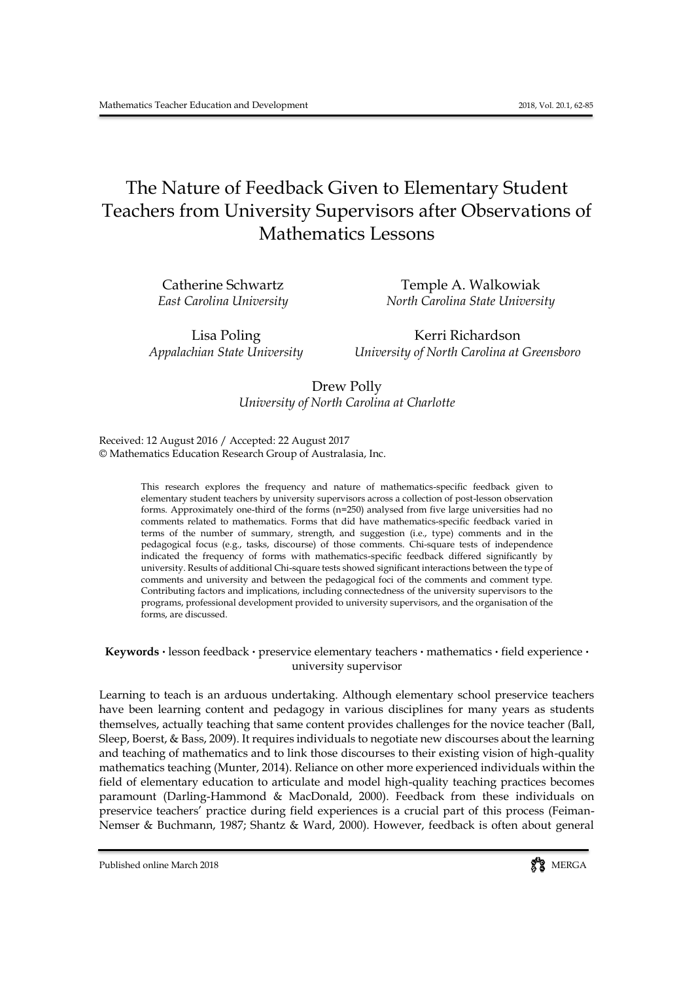# The Nature of Feedback Given to Elementary Student Teachers from University Supervisors after Observations of Mathematics Lessons

Catherine Schwartz Temple A. Walkowiak *East Carolina University North Carolina State University*

Lisa Poling The Richardson *Appalachian State University University of North Carolina at Greensboro*

> Drew Polly *University of North Carolina at Charlotte*

Received: 12 August 2016 / Accepted: 22 August 2017 © Mathematics Education Research Group of Australasia, Inc.

> This research explores the frequency and nature of mathematics-specific feedback given to elementary student teachers by university supervisors across a collection of post-lesson observation forms. Approximately one-third of the forms (n=250) analysed from five large universities had no comments related to mathematics. Forms that did have mathematics-specific feedback varied in terms of the number of summary, strength, and suggestion (i.e., type) comments and in the pedagogical focus (e.g., tasks, discourse) of those comments. Chi-square tests of independence indicated the frequency of forms with mathematics-specific feedback differed significantly by university. Results of additional Chi-square tests showed significant interactions between the type of comments and university and between the pedagogical foci of the comments and comment type. Contributing factors and implications, including connectedness of the university supervisors to the programs, professional development provided to university supervisors, and the organisation of the forms, are discussed.

**Keywords .** lesson feedback **.** preservice elementary teachers **.** mathematics **.** field experience **.** university supervisor

Learning to teach is an arduous undertaking. Although elementary school preservice teachers have been learning content and pedagogy in various disciplines for many years as students themselves, actually teaching that same content provides challenges for the novice teacher (Ball, Sleep, Boerst, & Bass, 2009). It requires individuals to negotiate new discourses about the learning and teaching of mathematics and to link those discourses to their existing vision of high-quality mathematics teaching (Munter, 2014). Reliance on other more experienced individuals within the field of elementary education to articulate and model high-quality teaching practices becomes paramount (Darling-Hammond & MacDonald, 2000). Feedback from these individuals on preservice teachers' practice during field experiences is a crucial part of this process (Feiman-Nemser & Buchmann, 1987; Shantz & Ward, 2000). However, feedback is often about general

Published online March 2018 MERGA

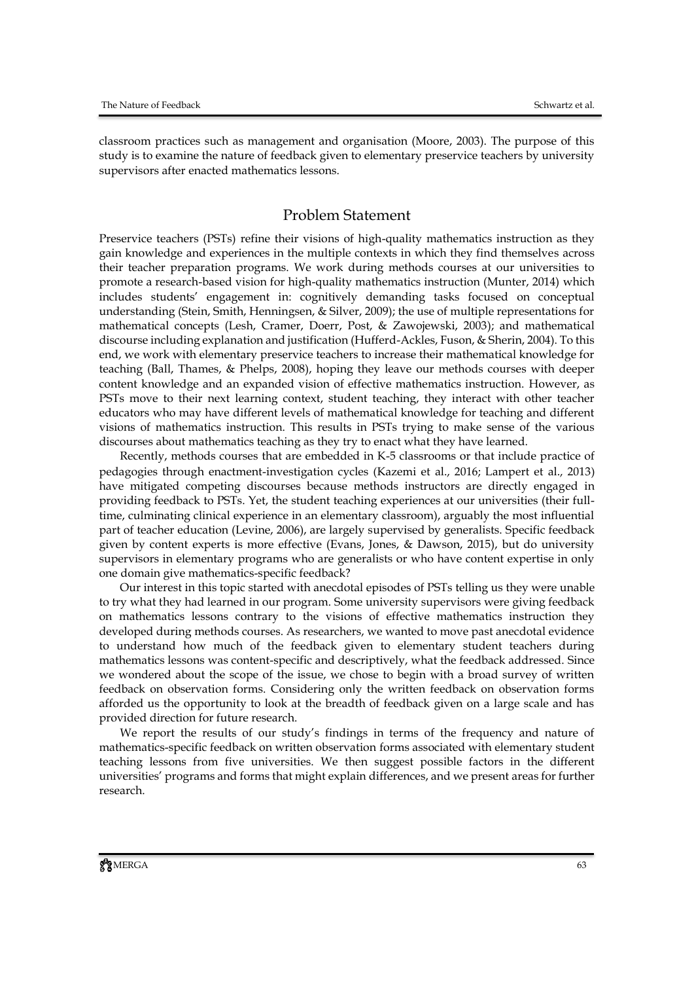classroom practices such as management and organisation (Moore, 2003). The purpose of this study is to examine the nature of feedback given to elementary preservice teachers by university supervisors after enacted mathematics lessons.

#### Problem Statement

Preservice teachers (PSTs) refine their visions of high-quality mathematics instruction as they gain knowledge and experiences in the multiple contexts in which they find themselves across their teacher preparation programs. We work during methods courses at our universities to promote a research-based vision for high-quality mathematics instruction (Munter, 2014) which includes students' engagement in: cognitively demanding tasks focused on conceptual understanding (Stein, Smith, Henningsen, & Silver, 2009); the use of multiple representations for mathematical concepts (Lesh, Cramer, Doerr, Post, & Zawojewski, 2003); and mathematical discourse including explanation and justification (Hufferd-Ackles, Fuson, & Sherin, 2004). To this end, we work with elementary preservice teachers to increase their mathematical knowledge for teaching (Ball, Thames, & Phelps, 2008), hoping they leave our methods courses with deeper content knowledge and an expanded vision of effective mathematics instruction. However, as PSTs move to their next learning context, student teaching, they interact with other teacher educators who may have different levels of mathematical knowledge for teaching and different visions of mathematics instruction. This results in PSTs trying to make sense of the various discourses about mathematics teaching as they try to enact what they have learned.

Recently, methods courses that are embedded in K-5 classrooms or that include practice of pedagogies through enactment-investigation cycles (Kazemi et al., 2016; Lampert et al., 2013) have mitigated competing discourses because methods instructors are directly engaged in providing feedback to PSTs. Yet, the student teaching experiences at our universities (their fulltime, culminating clinical experience in an elementary classroom), arguably the most influential part of teacher education (Levine, 2006), are largely supervised by generalists. Specific feedback given by content experts is more effective (Evans, Jones, & Dawson, 2015), but do university supervisors in elementary programs who are generalists or who have content expertise in only one domain give mathematics-specific feedback?

Our interest in this topic started with anecdotal episodes of PSTs telling us they were unable to try what they had learned in our program. Some university supervisors were giving feedback on mathematics lessons contrary to the visions of effective mathematics instruction they developed during methods courses. As researchers, we wanted to move past anecdotal evidence to understand how much of the feedback given to elementary student teachers during mathematics lessons was content-specific and descriptively, what the feedback addressed. Since we wondered about the scope of the issue, we chose to begin with a broad survey of written feedback on observation forms. Considering only the written feedback on observation forms afforded us the opportunity to look at the breadth of feedback given on a large scale and has provided direction for future research.

We report the results of our study's findings in terms of the frequency and nature of mathematics-specific feedback on written observation forms associated with elementary student teaching lessons from five universities. We then suggest possible factors in the different universities' programs and forms that might explain differences, and we present areas for further research.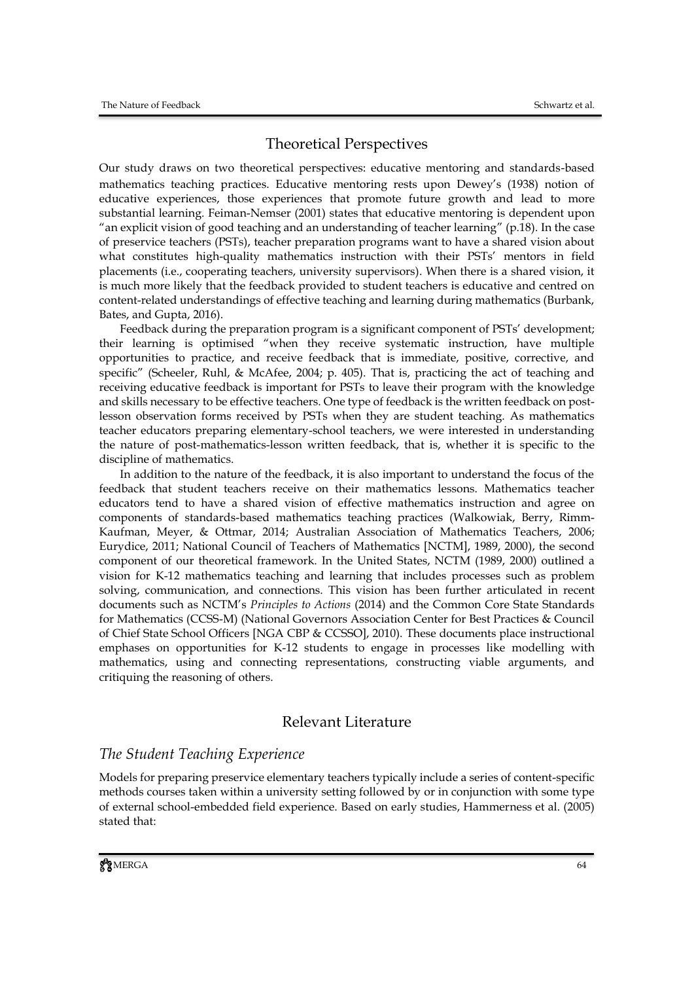### Theoretical Perspectives

Our study draws on two theoretical perspectives: educative mentoring and standards-based mathematics teaching practices. Educative mentoring rests upon Dewey's (1938) notion of educative experiences, those experiences that promote future growth and lead to more substantial learning. Feiman-Nemser (2001) states that educative mentoring is dependent upon "an explicit vision of good teaching and an understanding of teacher learning" (p.18). In the case of preservice teachers (PSTs), teacher preparation programs want to have a shared vision about what constitutes high-quality mathematics instruction with their PSTs' mentors in field placements (i.e., cooperating teachers, university supervisors). When there is a shared vision, it is much more likely that the feedback provided to student teachers is educative and centred on content-related understandings of effective teaching and learning during mathematics (Burbank, Bates, and Gupta, 2016).

Feedback during the preparation program is a significant component of PSTs' development; their learning is optimised "when they receive systematic instruction, have multiple opportunities to practice, and receive feedback that is immediate, positive, corrective, and specific" (Scheeler, Ruhl, & McAfee, 2004; p. 405). That is, practicing the act of teaching and receiving educative feedback is important for PSTs to leave their program with the knowledge and skills necessary to be effective teachers. One type of feedback is the written feedback on postlesson observation forms received by PSTs when they are student teaching. As mathematics teacher educators preparing elementary-school teachers, we were interested in understanding the nature of post-mathematics-lesson written feedback, that is, whether it is specific to the discipline of mathematics.

In addition to the nature of the feedback, it is also important to understand the focus of the feedback that student teachers receive on their mathematics lessons. Mathematics teacher educators tend to have a shared vision of effective mathematics instruction and agree on components of standards-based mathematics teaching practices (Walkowiak, Berry, Rimm-Kaufman, Meyer, & Ottmar, 2014; Australian Association of Mathematics Teachers, 2006; Eurydice, 2011; National Council of Teachers of Mathematics [NCTM], 1989, 2000), the second component of our theoretical framework. In the United States, NCTM (1989, 2000) outlined a vision for K-12 mathematics teaching and learning that includes processes such as problem solving, communication, and connections. This vision has been further articulated in recent documents such as NCTM's *Principles to Actions* (2014) and the Common Core State Standards for Mathematics (CCSS-M) (National Governors Association Center for Best Practices & Council of Chief State School Officers [NGA CBP & CCSSO], 2010). These documents place instructional emphases on opportunities for K-12 students to engage in processes like modelling with mathematics, using and connecting representations, constructing viable arguments, and critiquing the reasoning of others.

### Relevant Literature

### *The Student Teaching Experience*

Models for preparing preservice elementary teachers typically include a series of content-specific methods courses taken within a university setting followed by or in conjunction with some type of external school-embedded field experience. Based on early studies, Hammerness et al. (2005) stated that: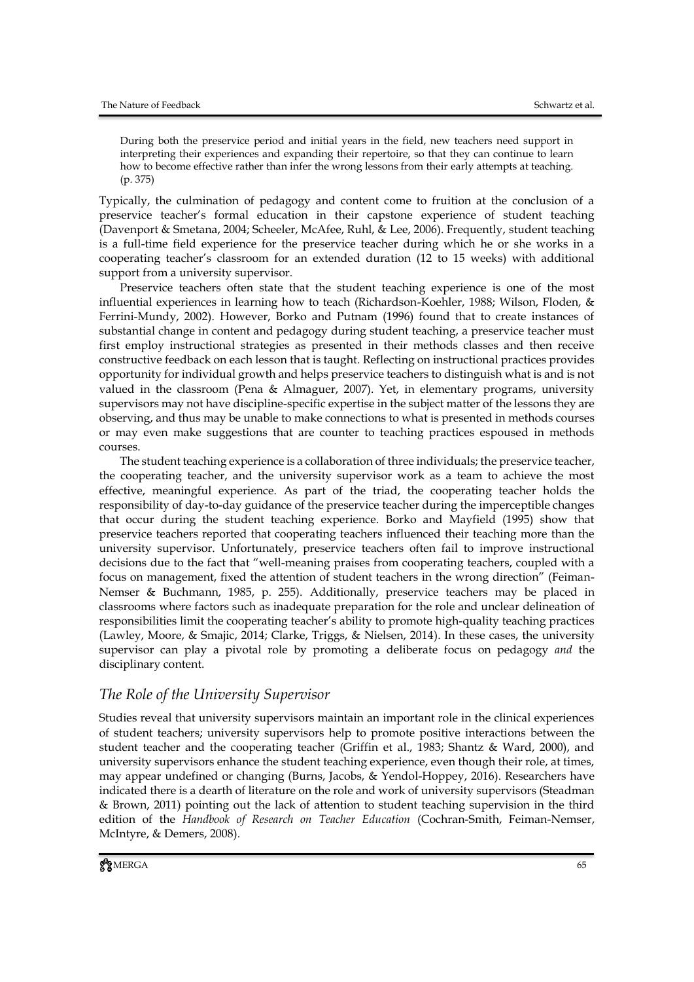During both the preservice period and initial years in the field, new teachers need support in interpreting their experiences and expanding their repertoire, so that they can continue to learn how to become effective rather than infer the wrong lessons from their early attempts at teaching. (p. 375)

Typically, the culmination of pedagogy and content come to fruition at the conclusion of a preservice teacher's formal education in their capstone experience of student teaching (Davenport & Smetana, 2004; Scheeler, McAfee, Ruhl, & Lee, 2006). Frequently, student teaching is a full-time field experience for the preservice teacher during which he or she works in a cooperating teacher's classroom for an extended duration (12 to 15 weeks) with additional support from a university supervisor.

Preservice teachers often state that the student teaching experience is one of the most influential experiences in learning how to teach (Richardson-Koehler, 1988; Wilson, Floden, & Ferrini-Mundy, 2002). However, Borko and Putnam (1996) found that to create instances of substantial change in content and pedagogy during student teaching, a preservice teacher must first employ instructional strategies as presented in their methods classes and then receive constructive feedback on each lesson that is taught. Reflecting on instructional practices provides opportunity for individual growth and helps preservice teachers to distinguish what is and is not valued in the classroom (Pena & Almaguer, 2007). Yet, in elementary programs, university supervisors may not have discipline-specific expertise in the subject matter of the lessons they are observing, and thus may be unable to make connections to what is presented in methods courses or may even make suggestions that are counter to teaching practices espoused in methods courses.

The student teaching experience is a collaboration of three individuals; the preservice teacher, the cooperating teacher, and the university supervisor work as a team to achieve the most effective, meaningful experience. As part of the triad, the cooperating teacher holds the responsibility of day-to-day guidance of the preservice teacher during the imperceptible changes that occur during the student teaching experience. Borko and Mayfield (1995) show that preservice teachers reported that cooperating teachers influenced their teaching more than the university supervisor. Unfortunately, preservice teachers often fail to improve instructional decisions due to the fact that "well-meaning praises from cooperating teachers, coupled with a focus on management, fixed the attention of student teachers in the wrong direction" (Feiman-Nemser & Buchmann, 1985, p. 255). Additionally, preservice teachers may be placed in classrooms where factors such as inadequate preparation for the role and unclear delineation of responsibilities limit the cooperating teacher's ability to promote high-quality teaching practices (Lawley, Moore, & Smajic, 2014; Clarke, Triggs, & Nielsen, 2014). In these cases, the university supervisor can play a pivotal role by promoting a deliberate focus on pedagogy *and* the disciplinary content.

### *The Role of the University Supervisor*

Studies reveal that university supervisors maintain an important role in the clinical experiences of student teachers; university supervisors help to promote positive interactions between the student teacher and the cooperating teacher (Griffin et al., 1983; Shantz & Ward, 2000), and university supervisors enhance the student teaching experience, even though their role, at times, may appear undefined or changing (Burns, Jacobs, & Yendol-Hoppey, 2016). Researchers have indicated there is a dearth of literature on the role and work of university supervisors (Steadman & Brown, 2011) pointing out the lack of attention to student teaching supervision in the third edition of the *Handbook of Research on Teacher Education* (Cochran-Smith, Feiman-Nemser, McIntyre, & Demers, 2008).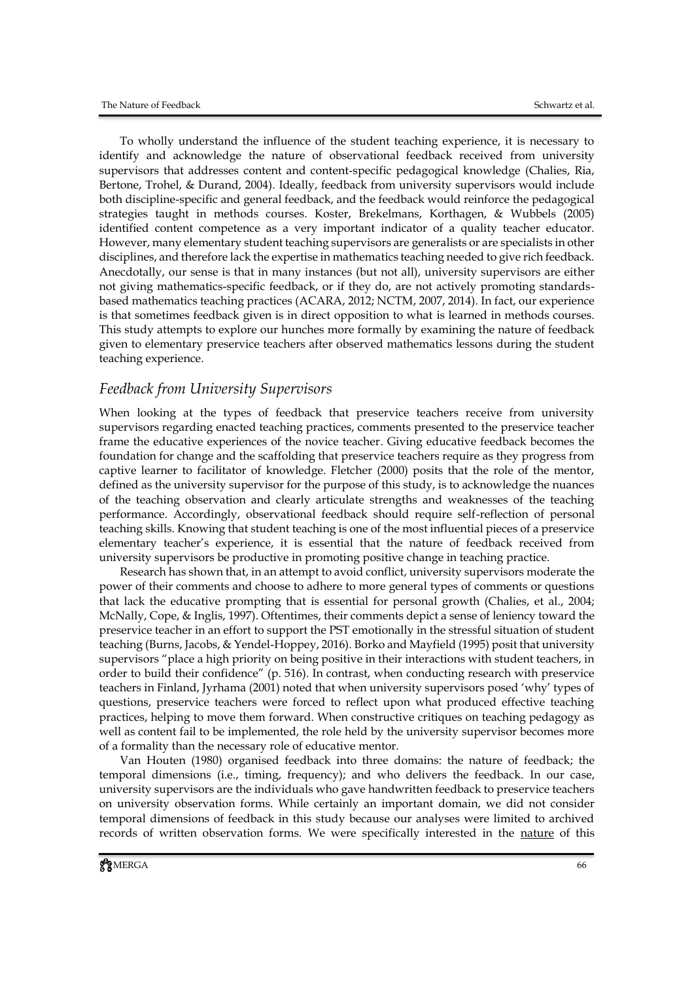To wholly understand the influence of the student teaching experience, it is necessary to identify and acknowledge the nature of observational feedback received from university supervisors that addresses content and content-specific pedagogical knowledge (Chalies, Ria, Bertone, Trohel, & Durand, 2004). Ideally, feedback from university supervisors would include both discipline-specific and general feedback, and the feedback would reinforce the pedagogical strategies taught in methods courses. Koster, Brekelmans, Korthagen, & Wubbels (2005) identified content competence as a very important indicator of a quality teacher educator. However, many elementary student teaching supervisors are generalists or are specialists in other disciplines, and therefore lack the expertise in mathematics teaching needed to give rich feedback. Anecdotally, our sense is that in many instances (but not all), university supervisors are either not giving mathematics-specific feedback, or if they do, are not actively promoting standardsbased mathematics teaching practices (ACARA, 2012; NCTM, 2007, 2014). In fact, our experience is that sometimes feedback given is in direct opposition to what is learned in methods courses. This study attempts to explore our hunches more formally by examining the nature of feedback given to elementary preservice teachers after observed mathematics lessons during the student teaching experience.

#### *Feedback from University Supervisors*

When looking at the types of feedback that preservice teachers receive from university supervisors regarding enacted teaching practices, comments presented to the preservice teacher frame the educative experiences of the novice teacher. Giving educative feedback becomes the foundation for change and the scaffolding that preservice teachers require as they progress from captive learner to facilitator of knowledge. Fletcher (2000) posits that the role of the mentor, defined as the university supervisor for the purpose of this study, is to acknowledge the nuances of the teaching observation and clearly articulate strengths and weaknesses of the teaching performance. Accordingly, observational feedback should require self-reflection of personal teaching skills. Knowing that student teaching is one of the most influential pieces of a preservice elementary teacher's experience, it is essential that the nature of feedback received from university supervisors be productive in promoting positive change in teaching practice.

Research has shown that, in an attempt to avoid conflict, university supervisors moderate the power of their comments and choose to adhere to more general types of comments or questions that lack the educative prompting that is essential for personal growth (Chalies, et al., 2004; McNally, Cope, & Inglis, 1997). Oftentimes, their comments depict a sense of leniency toward the preservice teacher in an effort to support the PST emotionally in the stressful situation of student teaching (Burns, Jacobs, & Yendel-Hoppey, 2016). Borko and Mayfield (1995) posit that university supervisors "place a high priority on being positive in their interactions with student teachers, in order to build their confidence" (p. 516). In contrast, when conducting research with preservice teachers in Finland, Jyrhama (2001) noted that when university supervisors posed 'why' types of questions, preservice teachers were forced to reflect upon what produced effective teaching practices, helping to move them forward. When constructive critiques on teaching pedagogy as well as content fail to be implemented, the role held by the university supervisor becomes more of a formality than the necessary role of educative mentor.

Van Houten (1980) organised feedback into three domains: the nature of feedback; the temporal dimensions (i.e., timing, frequency); and who delivers the feedback. In our case, university supervisors are the individuals who gave handwritten feedback to preservice teachers on university observation forms. While certainly an important domain, we did not consider temporal dimensions of feedback in this study because our analyses were limited to archived records of written observation forms. We were specifically interested in the nature of this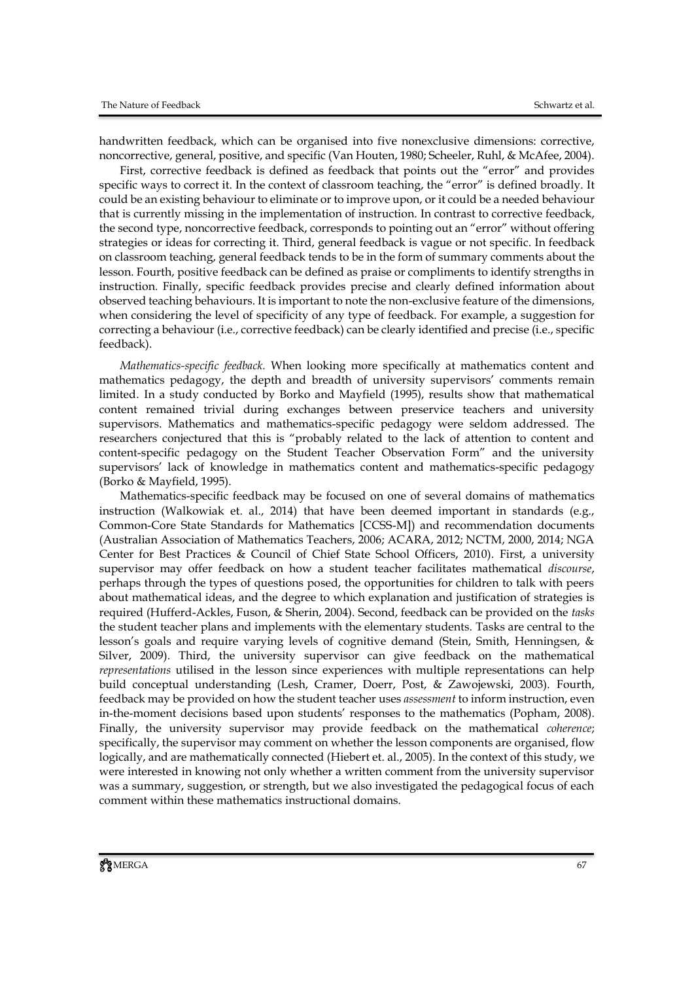handwritten feedback, which can be organised into five nonexclusive dimensions: corrective, noncorrective, general, positive, and specific (Van Houten, 1980; Scheeler, Ruhl, & McAfee, 2004).

First, corrective feedback is defined as feedback that points out the "error" and provides specific ways to correct it. In the context of classroom teaching, the "error" is defined broadly. It could be an existing behaviour to eliminate or to improve upon, or it could be a needed behaviour that is currently missing in the implementation of instruction. In contrast to corrective feedback, the second type, noncorrective feedback, corresponds to pointing out an "error" without offering strategies or ideas for correcting it. Third, general feedback is vague or not specific. In feedback on classroom teaching, general feedback tends to be in the form of summary comments about the lesson. Fourth, positive feedback can be defined as praise or compliments to identify strengths in instruction. Finally, specific feedback provides precise and clearly defined information about observed teaching behaviours. It is important to note the non-exclusive feature of the dimensions, when considering the level of specificity of any type of feedback. For example, a suggestion for correcting a behaviour (i.e., corrective feedback) can be clearly identified and precise (i.e., specific feedback).

*Mathematics-specific feedback.* When looking more specifically at mathematics content and mathematics pedagogy, the depth and breadth of university supervisors' comments remain limited. In a study conducted by Borko and Mayfield (1995), results show that mathematical content remained trivial during exchanges between preservice teachers and university supervisors. Mathematics and mathematics-specific pedagogy were seldom addressed. The researchers conjectured that this is "probably related to the lack of attention to content and content-specific pedagogy on the Student Teacher Observation Form" and the university supervisors' lack of knowledge in mathematics content and mathematics-specific pedagogy (Borko & Mayfield, 1995).

Mathematics-specific feedback may be focused on one of several domains of mathematics instruction (Walkowiak et. al., 2014) that have been deemed important in standards (e.g., Common-Core State Standards for Mathematics [CCSS-M]) and recommendation documents (Australian Association of Mathematics Teachers, 2006; ACARA, 2012; NCTM, 2000, 2014; NGA Center for Best Practices & Council of Chief State School Officers, 2010). First, a university supervisor may offer feedback on how a student teacher facilitates mathematical *discourse*, perhaps through the types of questions posed, the opportunities for children to talk with peers about mathematical ideas, and the degree to which explanation and justification of strategies is required (Hufferd-Ackles, Fuson, & Sherin, 2004). Second, feedback can be provided on the *tasks* the student teacher plans and implements with the elementary students. Tasks are central to the lesson's goals and require varying levels of cognitive demand (Stein, Smith, Henningsen, & Silver, 2009). Third, the university supervisor can give feedback on the mathematical *representations* utilised in the lesson since experiences with multiple representations can help build conceptual understanding (Lesh, Cramer, Doerr, Post, & Zawojewski, 2003). Fourth, feedback may be provided on how the student teacher uses *assessment* to inform instruction, even in-the-moment decisions based upon students' responses to the mathematics (Popham, 2008). Finally, the university supervisor may provide feedback on the mathematical *coherence*; specifically, the supervisor may comment on whether the lesson components are organised, flow logically, and are mathematically connected (Hiebert et. al., 2005). In the context of this study, we were interested in knowing not only whether a written comment from the university supervisor was a summary, suggestion, or strength, but we also investigated the pedagogical focus of each comment within these mathematics instructional domains.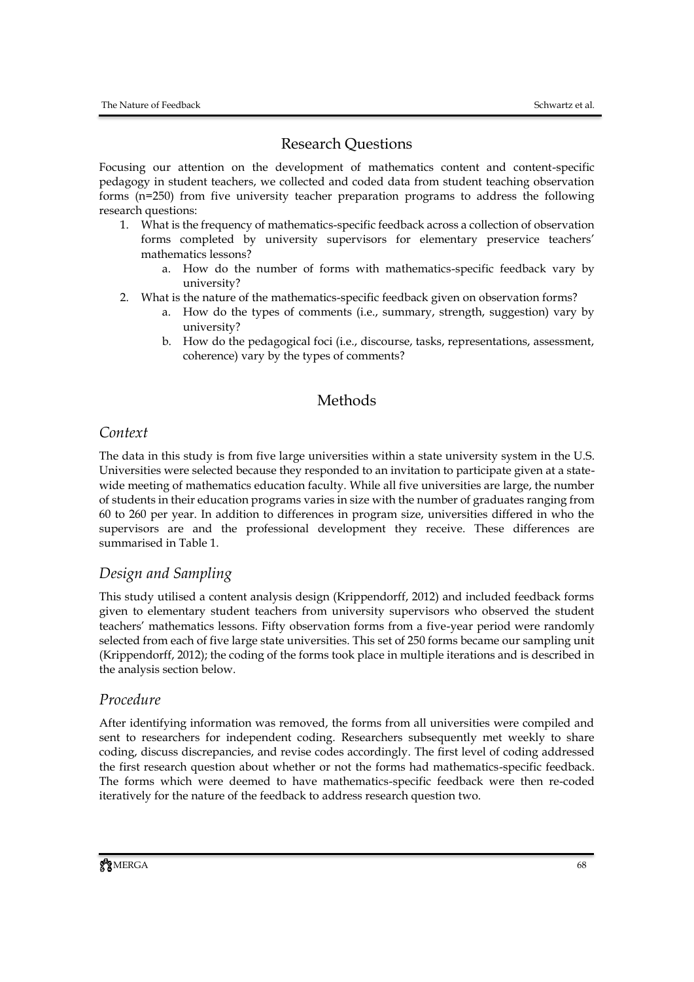## Research Questions

Focusing our attention on the development of mathematics content and content-specific pedagogy in student teachers, we collected and coded data from student teaching observation forms (n=250) from five university teacher preparation programs to address the following research questions:

- 1. What is the frequency of mathematics-specific feedback across a collection of observation forms completed by university supervisors for elementary preservice teachers' mathematics lessons?
	- a. How do the number of forms with mathematics-specific feedback vary by university?
- 2. What is the nature of the mathematics-specific feedback given on observation forms?
	- a. How do the types of comments (i.e., summary, strength, suggestion) vary by university?
	- b. How do the pedagogical foci (i.e., discourse, tasks, representations, assessment, coherence) vary by the types of comments?

## Methods

## *Context*

The data in this study is from five large universities within a state university system in the U.S. Universities were selected because they responded to an invitation to participate given at a statewide meeting of mathematics education faculty. While all five universities are large, the number of students in their education programs varies in size with the number of graduates ranging from 60 to 260 per year. In addition to differences in program size, universities differed in who the supervisors are and the professional development they receive. These differences are summarised in Table 1.

## *Design and Sampling*

This study utilised a content analysis design (Krippendorff, 2012) and included feedback forms given to elementary student teachers from university supervisors who observed the student teachers' mathematics lessons. Fifty observation forms from a five-year period were randomly selected from each of five large state universities. This set of 250 forms became our sampling unit (Krippendorff, 2012); the coding of the forms took place in multiple iterations and is described in the analysis section below.

## *Procedure*

After identifying information was removed, the forms from all universities were compiled and sent to researchers for independent coding. Researchers subsequently met weekly to share coding, discuss discrepancies, and revise codes accordingly. The first level of coding addressed the first research question about whether or not the forms had mathematics-specific feedback. The forms which were deemed to have mathematics-specific feedback were then re-coded iteratively for the nature of the feedback to address research question two.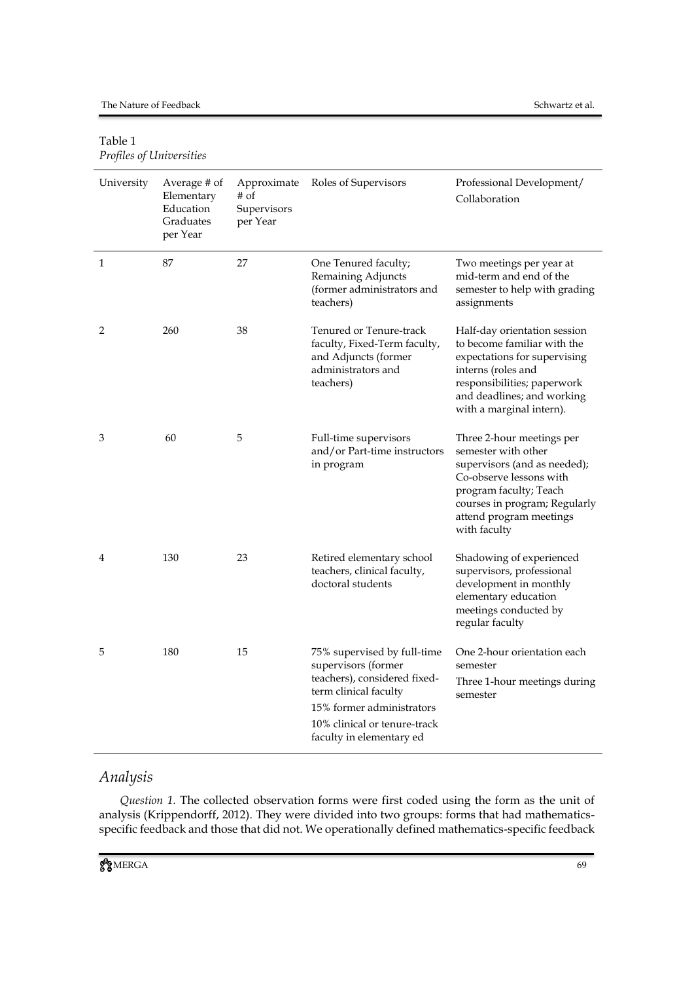## Table 1 *Profiles of Universities*

| University | Average # of<br>Elementary<br>Education<br>Graduates<br>per Year | Approximate<br>$#$ of<br>Supervisors<br>per Year | Roles of Supervisors                                                                                                                                                                                 | Professional Development/<br>Collaboration                                                                                                                                                                        |
|------------|------------------------------------------------------------------|--------------------------------------------------|------------------------------------------------------------------------------------------------------------------------------------------------------------------------------------------------------|-------------------------------------------------------------------------------------------------------------------------------------------------------------------------------------------------------------------|
| 1          | 87                                                               | 27                                               | One Tenured faculty;<br>Remaining Adjuncts<br>(former administrators and<br>teachers)                                                                                                                | Two meetings per year at<br>mid-term and end of the<br>semester to help with grading<br>assignments                                                                                                               |
| 2          | 260                                                              | 38                                               | Tenured or Tenure-track<br>faculty, Fixed-Term faculty,<br>and Adjuncts (former<br>administrators and<br>teachers)                                                                                   | Half-day orientation session<br>to become familiar with the<br>expectations for supervising<br>interns (roles and<br>responsibilities; paperwork<br>and deadlines; and working<br>with a marginal intern).        |
| 3          | 60                                                               | 5                                                | Full-time supervisors<br>and/or Part-time instructors<br>in program                                                                                                                                  | Three 2-hour meetings per<br>semester with other<br>supervisors (and as needed);<br>Co-observe lessons with<br>program faculty; Teach<br>courses in program; Regularly<br>attend program meetings<br>with faculty |
| 4          | 130                                                              | 23                                               | Retired elementary school<br>teachers, clinical faculty,<br>doctoral students                                                                                                                        | Shadowing of experienced<br>supervisors, professional<br>development in monthly<br>elementary education<br>meetings conducted by<br>regular faculty                                                               |
| 5          | 180                                                              | 15                                               | 75% supervised by full-time<br>supervisors (former<br>teachers), considered fixed-<br>term clinical faculty<br>15% former administrators<br>10% clinical or tenure-track<br>faculty in elementary ed | One 2-hour orientation each<br>semester<br>Three 1-hour meetings during<br>semester                                                                                                                               |

# *Analysis*

*Question 1.* The collected observation forms were first coded using the form as the unit of analysis (Krippendorff, 2012). They were divided into two groups: forms that had mathematicsspecific feedback and those that did not. We operationally defined mathematics-specific feedback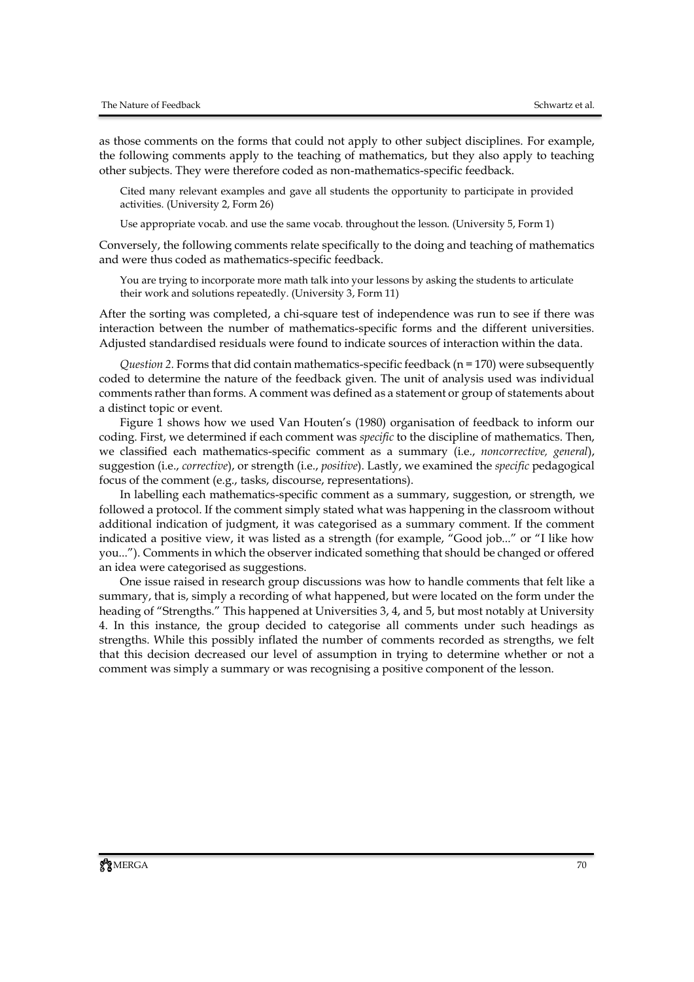as those comments on the forms that could not apply to other subject disciplines. For example, the following comments apply to the teaching of mathematics, but they also apply to teaching other subjects. They were therefore coded as non-mathematics-specific feedback.

Cited many relevant examples and gave all students the opportunity to participate in provided activities. (University 2, Form 26)

Use appropriate vocab. and use the same vocab. throughout the lesson. (University 5, Form 1)

Conversely, the following comments relate specifically to the doing and teaching of mathematics and were thus coded as mathematics-specific feedback.

You are trying to incorporate more math talk into your lessons by asking the students to articulate their work and solutions repeatedly. (University 3, Form 11)

After the sorting was completed, a chi-square test of independence was run to see if there was interaction between the number of mathematics-specific forms and the different universities. Adjusted standardised residuals were found to indicate sources of interaction within the data.

*Question 2.* Forms that did contain mathematics-specific feedback ( $n = 170$ ) were subsequently coded to determine the nature of the feedback given. The unit of analysis used was individual comments rather than forms. A comment was defined as a statement or group of statements about a distinct topic or event.

Figure 1 shows how we used Van Houten's (1980) organisation of feedback to inform our coding. First, we determined if each comment was *specific* to the discipline of mathematics. Then, we classified each mathematics-specific comment as a summary (i.e., *noncorrective, general*), suggestion (i.e., *corrective*), or strength (i.e., *positive*). Lastly, we examined the *specific* pedagogical focus of the comment (e.g., tasks, discourse, representations).

In labelling each mathematics-specific comment as a summary, suggestion, or strength, we followed a protocol. If the comment simply stated what was happening in the classroom without additional indication of judgment, it was categorised as a summary comment. If the comment indicated a positive view, it was listed as a strength (for example, "Good job..." or "I like how you..."). Comments in which the observer indicated something that should be changed or offered an idea were categorised as suggestions.

One issue raised in research group discussions was how to handle comments that felt like a summary, that is, simply a recording of what happened, but were located on the form under the heading of "Strengths." This happened at Universities 3, 4, and 5, but most notably at University 4. In this instance, the group decided to categorise all comments under such headings as strengths. While this possibly inflated the number of comments recorded as strengths, we felt that this decision decreased our level of assumption in trying to determine whether or not a comment was simply a summary or was recognising a positive component of the lesson.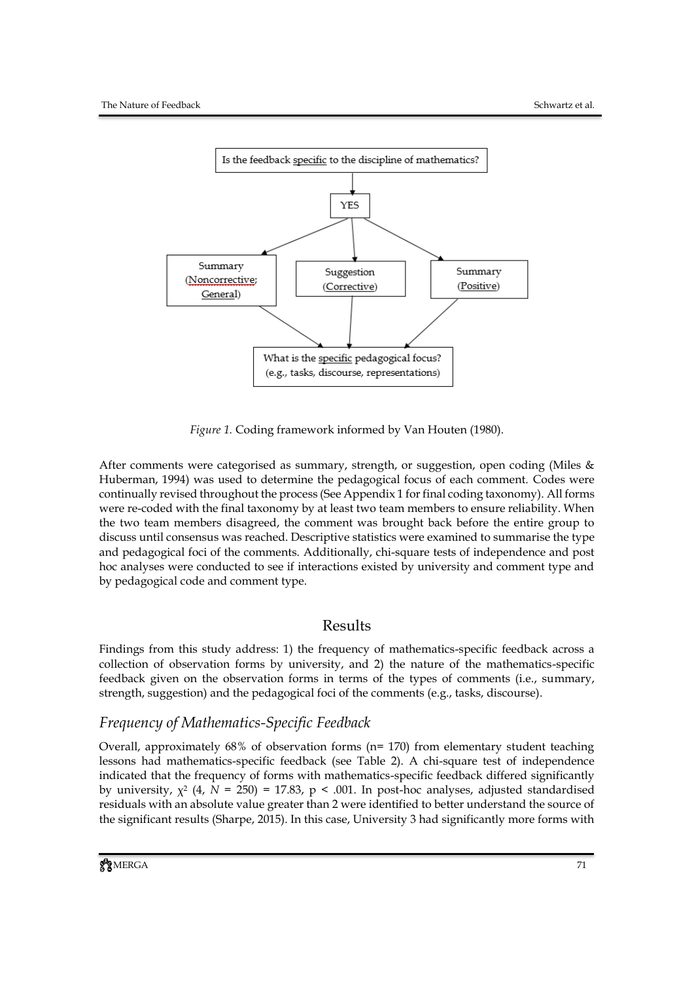

*Figure 1.* Coding framework informed by Van Houten (1980).

After comments were categorised as summary, strength, or suggestion, open coding (Miles & Huberman, 1994) was used to determine the pedagogical focus of each comment. Codes were continually revised throughout the process (See Appendix 1 for final coding taxonomy). All forms were re-coded with the final taxonomy by at least two team members to ensure reliability. When the two team members disagreed, the comment was brought back before the entire group to discuss until consensus was reached. Descriptive statistics were examined to summarise the type and pedagogical foci of the comments. Additionally, chi-square tests of independence and post hoc analyses were conducted to see if interactions existed by university and comment type and by pedagogical code and comment type.

## Results

Findings from this study address: 1) the frequency of mathematics-specific feedback across a collection of observation forms by university, and 2) the nature of the mathematics-specific feedback given on the observation forms in terms of the types of comments (i.e., summary, strength, suggestion) and the pedagogical foci of the comments (e.g., tasks, discourse).

## *Frequency of Mathematics-Specific Feedback*

Overall, approximately 68% of observation forms (n= 170) from elementary student teaching lessons had mathematics-specific feedback (see Table 2). A chi-square test of independence indicated that the frequency of forms with mathematics-specific feedback differed significantly by university,  $\chi^2$  (4,  $N = 250$ ) = 17.83, p < .001. In post-hoc analyses, adjusted standardised residuals with an absolute value greater than 2 were identified to better understand the source of the significant results (Sharpe, 2015). In this case, University 3 had significantly more forms with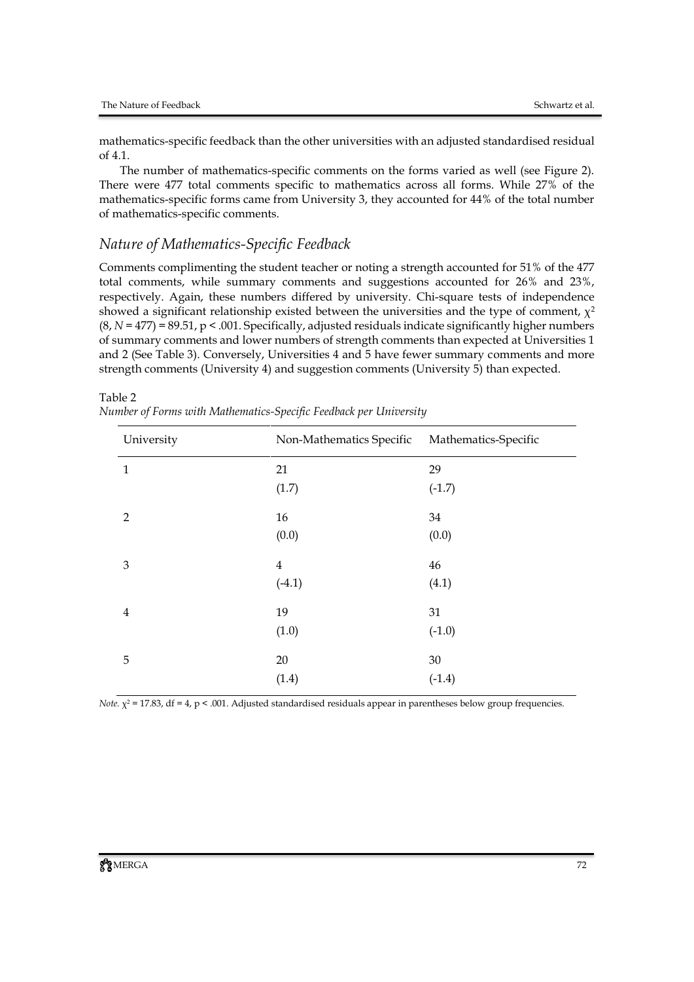Table 2

mathematics-specific feedback than the other universities with an adjusted standardised residual of 4.1.

The number of mathematics-specific comments on the forms varied as well (see Figure 2). There were 477 total comments specific to mathematics across all forms. While 27% of the mathematics-specific forms came from University 3, they accounted for 44% of the total number of mathematics-specific comments.

### *Nature of Mathematics-Specific Feedback*

Comments complimenting the student teacher or noting a strength accounted for 51% of the 477 total comments, while summary comments and suggestions accounted for 26% and 23%, respectively. Again, these numbers differed by university. Chi-square tests of independence showed a significant relationship existed between the universities and the type of comment,  $\chi^2$  $(8, N = 477) = 89.51$ ,  $p < .001$ . Specifically, adjusted residuals indicate significantly higher numbers of summary comments and lower numbers of strength comments than expected at Universities 1 and 2 (See Table 3). Conversely, Universities 4 and 5 have fewer summary comments and more strength comments (University 4) and suggestion comments (University 5) than expected.

| University     | Non-Mathematics Specific | Mathematics-Specific |
|----------------|--------------------------|----------------------|
| $\mathbf{1}$   | 21                       | 29                   |
|                | (1.7)                    | $(-1.7)$             |
| $\overline{2}$ | 16                       | 34                   |
|                | (0.0)                    | (0.0)                |
| $\mathfrak{B}$ | $\overline{4}$           | 46                   |
|                | $(-4.1)$                 | (4.1)                |
| $\overline{4}$ | 19                       | 31                   |
|                | (1.0)                    | $(-1.0)$             |
| 5              | 20                       | $30\,$               |
|                | (1.4)                    | $(-1.4)$             |

*Number of Forms with Mathematics-Specific Feedback per University*

*Note.*  $\chi^2$  = 17.83, df = 4, p < .001. Adjusted standardised residuals appear in parentheses below group frequencies.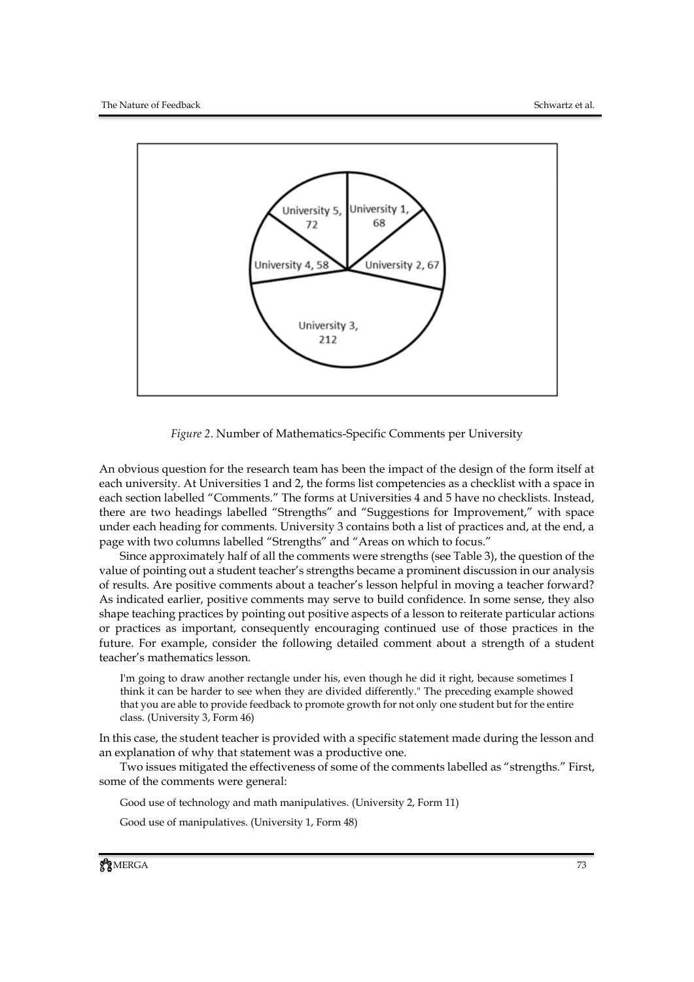

*Figure 2*. Number of Mathematics-Specific Comments per University

An obvious question for the research team has been the impact of the design of the form itself at each university. At Universities 1 and 2, the forms list competencies as a checklist with a space in each section labelled "Comments." The forms at Universities 4 and 5 have no checklists. Instead, there are two headings labelled "Strengths" and "Suggestions for Improvement," with space under each heading for comments. University 3 contains both a list of practices and, at the end, a page with two columns labelled "Strengths" and "Areas on which to focus."

Since approximately half of all the comments were strengths (see Table 3), the question of the value of pointing out a student teacher's strengths became a prominent discussion in our analysis of results. Are positive comments about a teacher's lesson helpful in moving a teacher forward? As indicated earlier, positive comments may serve to build confidence. In some sense, they also shape teaching practices by pointing out positive aspects of a lesson to reiterate particular actions or practices as important, consequently encouraging continued use of those practices in the future. For example, consider the following detailed comment about a strength of a student teacher's mathematics lesson.

I'm going to draw another rectangle under his, even though he did it right, because sometimes I think it can be harder to see when they are divided differently." The preceding example showed that you are able to provide feedback to promote growth for not only one student but for the entire class. (University 3, Form 46)

In this case, the student teacher is provided with a specific statement made during the lesson and an explanation of why that statement was a productive one.

Two issues mitigated the effectiveness of some of the comments labelled as "strengths." First, some of the comments were general:

Good use of technology and math manipulatives. (University 2, Form 11)

Good use of manipulatives. (University 1, Form 48)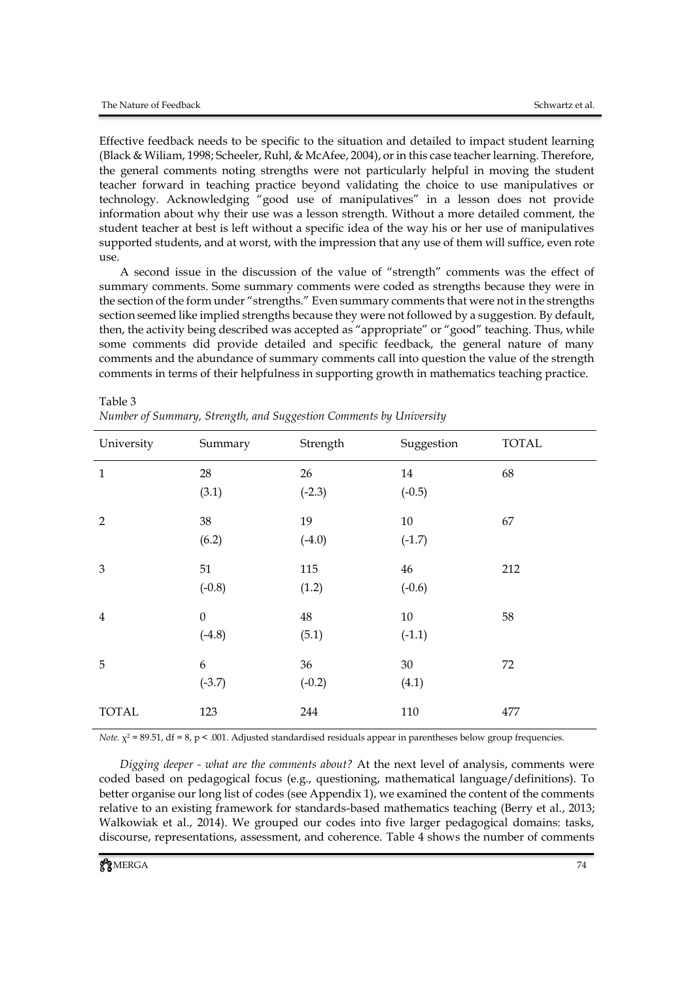Table 3

Effective feedback needs to be specific to the situation and detailed to impact student learning (Black & Wiliam, 1998; Scheeler, Ruhl, & McAfee, 2004), or in this case teacher learning. Therefore, the general comments noting strengths were not particularly helpful in moving the student teacher forward in teaching practice beyond validating the choice to use manipulatives or technology. Acknowledging "good use of manipulatives" in a lesson does not provide information about why their use was a lesson strength. Without a more detailed comment, the student teacher at best is left without a specific idea of the way his or her use of manipulatives supported students, and at worst, with the impression that any use of them will suffice, even rote use.

A second issue in the discussion of the value of "strength" comments was the effect of summary comments. Some summary comments were coded as strengths because they were in the section of the form under "strengths." Even summary comments that were not in the strengths section seemed like implied strengths because they were not followed by a suggestion. By default, then, the activity being described was accepted as "appropriate" or "good" teaching. Thus, while some comments did provide detailed and specific feedback, the general nature of many comments and the abundance of summary comments call into question the value of the strength comments in terms of their helpfulness in supporting growth in mathematics teaching practice.

| University     | Summary                      | Strength       | Suggestion     | <b>TOTAL</b> |
|----------------|------------------------------|----------------|----------------|--------------|
| $\mathbf{1}$   | 28<br>(3.1)                  | 26<br>$(-2.3)$ | 14<br>$(-0.5)$ | 68           |
| $\overline{2}$ | 38<br>(6.2)                  | 19<br>$(-4.0)$ | 10<br>$(-1.7)$ | 67           |
| 3              | 51<br>$(-0.8)$               | 115<br>(1.2)   | 46<br>$(-0.6)$ | 212          |
| $\overline{4}$ | $\boldsymbol{0}$<br>$(-4.8)$ | 48<br>(5.1)    | 10<br>$(-1.1)$ | 58           |
| 5              | 6<br>$(-3.7)$                | 36<br>$(-0.2)$ | 30<br>(4.1)    | 72           |
| <b>TOTAL</b>   | 123                          | 244            | 110            | 477          |

| Number of Summary, Strength, and Suggestion Comments by University |
|--------------------------------------------------------------------|
|--------------------------------------------------------------------|

*Note.*  $\chi^2$  = 89.51, df = 8, p < .001. Adjusted standardised residuals appear in parentheses below group frequencies.

*Digging deeper - what are the comments about?* At the next level of analysis, comments were coded based on pedagogical focus (e.g., questioning, mathematical language/definitions). To better organise our long list of codes (see Appendix 1), we examined the content of the comments relative to an existing framework for standards-based mathematics teaching (Berry et al., 2013; Walkowiak et al., 2014). We grouped our codes into five larger pedagogical domains: tasks, discourse, representations, assessment, and coherence. Table 4 shows the number of comments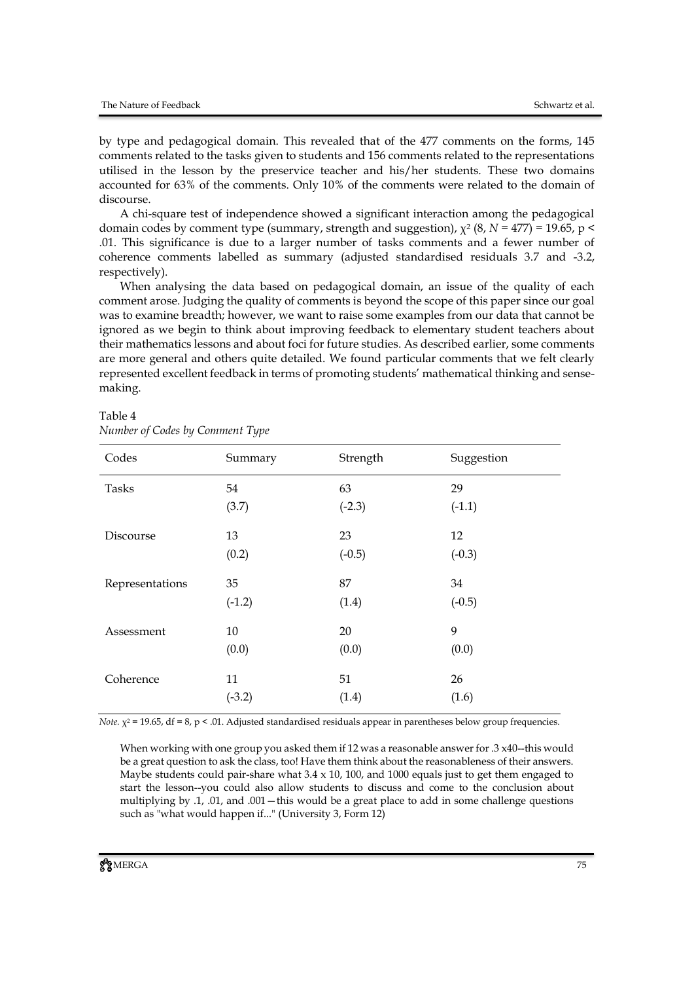by type and pedagogical domain. This revealed that of the 477 comments on the forms, 145 comments related to the tasks given to students and 156 comments related to the representations utilised in the lesson by the preservice teacher and his/her students. These two domains accounted for 63% of the comments. Only 10% of the comments were related to the domain of discourse.

A chi-square test of independence showed a significant interaction among the pedagogical domain codes by comment type (summary, strength and suggestion),  $\chi^2$  (8,  $N$  = 477) = 19.65, p < .01. This significance is due to a larger number of tasks comments and a fewer number of coherence comments labelled as summary (adjusted standardised residuals 3.7 and -3.2, respectively).

When analysing the data based on pedagogical domain, an issue of the quality of each comment arose. Judging the quality of comments is beyond the scope of this paper since our goal was to examine breadth; however, we want to raise some examples from our data that cannot be ignored as we begin to think about improving feedback to elementary student teachers about their mathematics lessons and about foci for future studies. As described earlier, some comments are more general and others quite detailed. We found particular comments that we felt clearly represented excellent feedback in terms of promoting students' mathematical thinking and sensemaking.

| Codes           | Summary  | Strength | Suggestion |
|-----------------|----------|----------|------------|
| <b>Tasks</b>    | 54       | 63       | 29         |
|                 | (3.7)    | $(-2.3)$ | $(-1.1)$   |
| Discourse       | 13       | 23       | 12         |
|                 | (0.2)    | $(-0.5)$ | $(-0.3)$   |
| Representations | 35       | 87       | 34         |
|                 | $(-1.2)$ | (1.4)    | $(-0.5)$   |
| Assessment      | 10       | 20       | 9          |
|                 | (0.0)    | (0.0)    | (0.0)      |
| Coherence       | 11       | 51       | 26         |
|                 | $(-3.2)$ | (1.4)    | (1.6)      |

#### Table 4 *Number of Codes by Comment Type*

*Note.*  $\chi^2$  = 19.65, df = 8, p < .01. Adjusted standardised residuals appear in parentheses below group frequencies.

When working with one group you asked them if 12 was a reasonable answer for .3 x40--this would be a great question to ask the class, too! Have them think about the reasonableness of their answers. Maybe students could pair-share what  $3.4 \times 10$ , 100, and 1000 equals just to get them engaged to start the lesson--you could also allow students to discuss and come to the conclusion about multiplying by .1, .01, and .001—this would be a great place to add in some challenge questions such as "what would happen if..." (University 3, Form 12)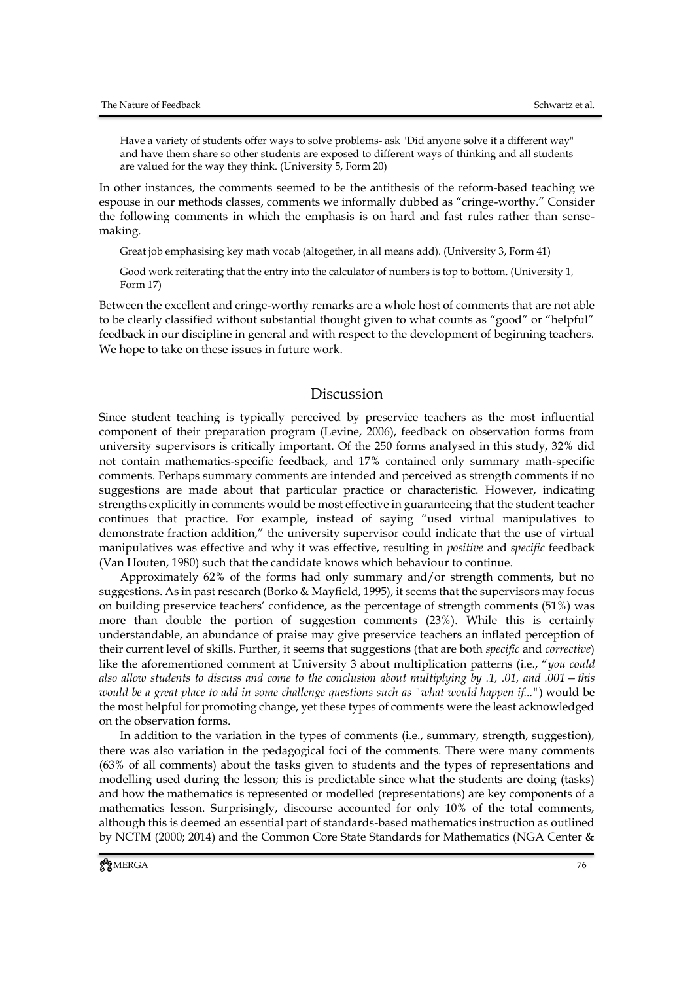Have a variety of students offer ways to solve problems- ask "Did anyone solve it a different way" and have them share so other students are exposed to different ways of thinking and all students are valued for the way they think. (University 5, Form 20)

In other instances, the comments seemed to be the antithesis of the reform-based teaching we espouse in our methods classes, comments we informally dubbed as "cringe-worthy." Consider the following comments in which the emphasis is on hard and fast rules rather than sensemaking.

Great job emphasising key math vocab (altogether, in all means add). (University 3, Form 41)

Good work reiterating that the entry into the calculator of numbers is top to bottom. (University 1, Form 17)

Between the excellent and cringe-worthy remarks are a whole host of comments that are not able to be clearly classified without substantial thought given to what counts as "good" or "helpful" feedback in our discipline in general and with respect to the development of beginning teachers. We hope to take on these issues in future work.

### Discussion

Since student teaching is typically perceived by preservice teachers as the most influential component of their preparation program (Levine, 2006), feedback on observation forms from university supervisors is critically important. Of the 250 forms analysed in this study, 32% did not contain mathematics-specific feedback, and 17% contained only summary math-specific comments. Perhaps summary comments are intended and perceived as strength comments if no suggestions are made about that particular practice or characteristic. However, indicating strengths explicitly in comments would be most effective in guaranteeing that the student teacher continues that practice. For example, instead of saying "used virtual manipulatives to demonstrate fraction addition," the university supervisor could indicate that the use of virtual manipulatives was effective and why it was effective, resulting in *positive* and *specific* feedback (Van Houten, 1980) such that the candidate knows which behaviour to continue.

Approximately 62% of the forms had only summary and/or strength comments, but no suggestions. As in past research (Borko & Mayfield, 1995), it seems that the supervisors may focus on building preservice teachers' confidence, as the percentage of strength comments (51%) was more than double the portion of suggestion comments (23%). While this is certainly understandable, an abundance of praise may give preservice teachers an inflated perception of their current level of skills. Further, it seems that suggestions (that are both *specific* and *corrective*) like the aforementioned comment at University 3 about multiplication patterns (i.e., "*you could also allow students to discuss and come to the conclusion about multiplying by .1, .01, and .001—this would be a great place to add in some challenge questions such as "what would happen if..."*) would be the most helpful for promoting change, yet these types of comments were the least acknowledged on the observation forms.

In addition to the variation in the types of comments (i.e., summary, strength, suggestion), there was also variation in the pedagogical foci of the comments. There were many comments (63% of all comments) about the tasks given to students and the types of representations and modelling used during the lesson; this is predictable since what the students are doing (tasks) and how the mathematics is represented or modelled (representations) are key components of a mathematics lesson. Surprisingly, discourse accounted for only 10% of the total comments, although this is deemed an essential part of standards-based mathematics instruction as outlined by NCTM (2000; 2014) and the Common Core State Standards for Mathematics (NGA Center &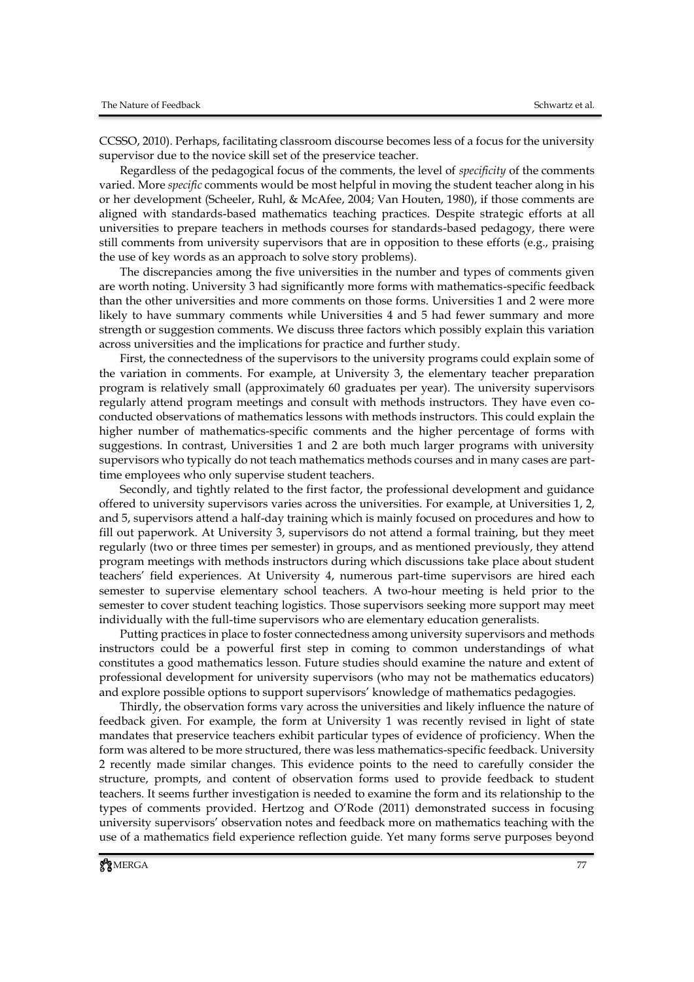CCSSO, 2010). Perhaps, facilitating classroom discourse becomes less of a focus for the university supervisor due to the novice skill set of the preservice teacher.

Regardless of the pedagogical focus of the comments, the level of *specificity* of the comments varied. More *specific* comments would be most helpful in moving the student teacher along in his or her development (Scheeler, Ruhl, & McAfee, 2004; Van Houten, 1980), if those comments are aligned with standards-based mathematics teaching practices. Despite strategic efforts at all universities to prepare teachers in methods courses for standards-based pedagogy, there were still comments from university supervisors that are in opposition to these efforts (e.g., praising the use of key words as an approach to solve story problems).

The discrepancies among the five universities in the number and types of comments given are worth noting. University 3 had significantly more forms with mathematics-specific feedback than the other universities and more comments on those forms. Universities 1 and 2 were more likely to have summary comments while Universities 4 and 5 had fewer summary and more strength or suggestion comments. We discuss three factors which possibly explain this variation across universities and the implications for practice and further study.

First, the connectedness of the supervisors to the university programs could explain some of the variation in comments. For example, at University 3, the elementary teacher preparation program is relatively small (approximately 60 graduates per year). The university supervisors regularly attend program meetings and consult with methods instructors. They have even coconducted observations of mathematics lessons with methods instructors. This could explain the higher number of mathematics-specific comments and the higher percentage of forms with suggestions. In contrast, Universities 1 and 2 are both much larger programs with university supervisors who typically do not teach mathematics methods courses and in many cases are parttime employees who only supervise student teachers.

Secondly, and tightly related to the first factor, the professional development and guidance offered to university supervisors varies across the universities. For example, at Universities 1, 2, and 5, supervisors attend a half-day training which is mainly focused on procedures and how to fill out paperwork. At University 3, supervisors do not attend a formal training, but they meet regularly (two or three times per semester) in groups, and as mentioned previously, they attend program meetings with methods instructors during which discussions take place about student teachers' field experiences. At University 4, numerous part-time supervisors are hired each semester to supervise elementary school teachers. A two-hour meeting is held prior to the semester to cover student teaching logistics. Those supervisors seeking more support may meet individually with the full-time supervisors who are elementary education generalists.

Putting practices in place to foster connectedness among university supervisors and methods instructors could be a powerful first step in coming to common understandings of what constitutes a good mathematics lesson. Future studies should examine the nature and extent of professional development for university supervisors (who may not be mathematics educators) and explore possible options to support supervisors' knowledge of mathematics pedagogies.

Thirdly, the observation forms vary across the universities and likely influence the nature of feedback given. For example, the form at University 1 was recently revised in light of state mandates that preservice teachers exhibit particular types of evidence of proficiency. When the form was altered to be more structured, there was less mathematics-specific feedback. University 2 recently made similar changes. This evidence points to the need to carefully consider the structure, prompts, and content of observation forms used to provide feedback to student teachers. It seems further investigation is needed to examine the form and its relationship to the types of comments provided. Hertzog and O'Rode (2011) demonstrated success in focusing university supervisors' observation notes and feedback more on mathematics teaching with the use of a mathematics field experience reflection guide. Yet many forms serve purposes beyond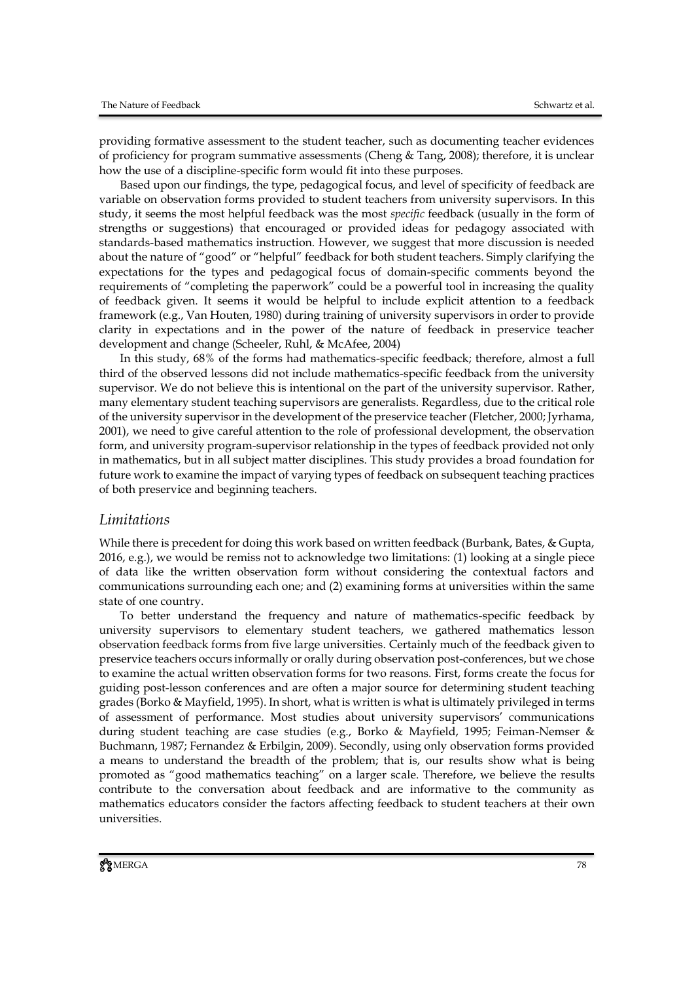providing formative assessment to the student teacher, such as documenting teacher evidences of proficiency for program summative assessments (Cheng & Tang, 2008); therefore, it is unclear how the use of a discipline-specific form would fit into these purposes.

Based upon our findings, the type, pedagogical focus, and level of specificity of feedback are variable on observation forms provided to student teachers from university supervisors. In this study, it seems the most helpful feedback was the most *specific* feedback (usually in the form of strengths or suggestions) that encouraged or provided ideas for pedagogy associated with standards-based mathematics instruction. However, we suggest that more discussion is needed about the nature of "good" or "helpful" feedback for both student teachers. Simply clarifying the expectations for the types and pedagogical focus of domain-specific comments beyond the requirements of "completing the paperwork" could be a powerful tool in increasing the quality of feedback given. It seems it would be helpful to include explicit attention to a feedback framework (e.g., Van Houten, 1980) during training of university supervisors in order to provide clarity in expectations and in the power of the nature of feedback in preservice teacher development and change (Scheeler, Ruhl, & McAfee, 2004)

In this study, 68% of the forms had mathematics-specific feedback; therefore, almost a full third of the observed lessons did not include mathematics-specific feedback from the university supervisor. We do not believe this is intentional on the part of the university supervisor. Rather, many elementary student teaching supervisors are generalists. Regardless, due to the critical role of the university supervisor in the development of the preservice teacher (Fletcher, 2000; Jyrhama, 2001), we need to give careful attention to the role of professional development, the observation form, and university program-supervisor relationship in the types of feedback provided not only in mathematics, but in all subject matter disciplines. This study provides a broad foundation for future work to examine the impact of varying types of feedback on subsequent teaching practices of both preservice and beginning teachers.

#### *Limitations*

While there is precedent for doing this work based on written feedback (Burbank, Bates, & Gupta, 2016, e.g.), we would be remiss not to acknowledge two limitations: (1) looking at a single piece of data like the written observation form without considering the contextual factors and communications surrounding each one; and (2) examining forms at universities within the same state of one country.

To better understand the frequency and nature of mathematics-specific feedback by university supervisors to elementary student teachers, we gathered mathematics lesson observation feedback forms from five large universities. Certainly much of the feedback given to preservice teachers occurs informally or orally during observation post-conferences, but we chose to examine the actual written observation forms for two reasons. First, forms create the focus for guiding post-lesson conferences and are often a major source for determining student teaching grades (Borko & Mayfield, 1995). In short, what is written is what is ultimately privileged in terms of assessment of performance. Most studies about university supervisors' communications during student teaching are case studies (e.g., Borko & Mayfield, 1995; Feiman-Nemser & Buchmann, 1987; Fernandez & Erbilgin, 2009). Secondly, using only observation forms provided a means to understand the breadth of the problem; that is, our results show what is being promoted as "good mathematics teaching" on a larger scale. Therefore, we believe the results contribute to the conversation about feedback and are informative to the community as mathematics educators consider the factors affecting feedback to student teachers at their own universities.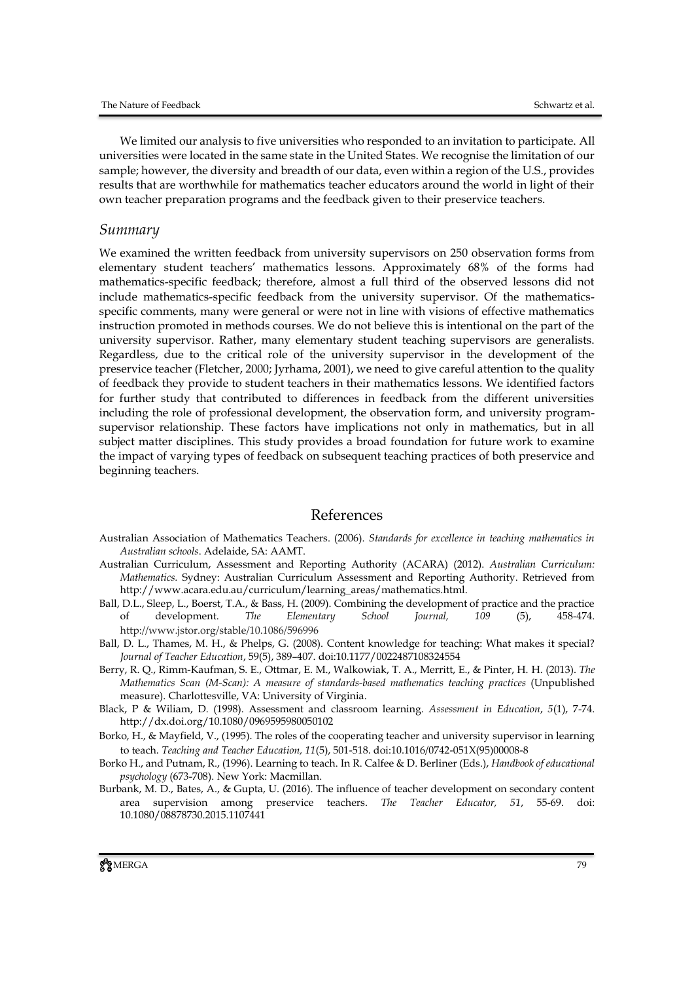We limited our analysis to five universities who responded to an invitation to participate. All universities were located in the same state in the United States. We recognise the limitation of our sample; however, the diversity and breadth of our data, even within a region of the U.S., provides results that are worthwhile for mathematics teacher educators around the world in light of their own teacher preparation programs and the feedback given to their preservice teachers.

#### *Summary*

We examined the written feedback from university supervisors on 250 observation forms from elementary student teachers' mathematics lessons. Approximately 68% of the forms had mathematics-specific feedback; therefore, almost a full third of the observed lessons did not include mathematics-specific feedback from the university supervisor. Of the mathematicsspecific comments, many were general or were not in line with visions of effective mathematics instruction promoted in methods courses. We do not believe this is intentional on the part of the university supervisor. Rather, many elementary student teaching supervisors are generalists. Regardless, due to the critical role of the university supervisor in the development of the preservice teacher (Fletcher, 2000; Jyrhama, 2001), we need to give careful attention to the quality of feedback they provide to student teachers in their mathematics lessons. We identified factors for further study that contributed to differences in feedback from the different universities including the role of professional development, the observation form, and university programsupervisor relationship. These factors have implications not only in mathematics, but in all subject matter disciplines. This study provides a broad foundation for future work to examine the impact of varying types of feedback on subsequent teaching practices of both preservice and beginning teachers.

#### References

- Australian Association of Mathematics Teachers. (2006). *Standards for excellence in teaching mathematics in Australian schools*. Adelaide, SA: AAMT.
- Australian Curriculum, Assessment and Reporting Authority (ACARA) (2012). *Australian Curriculum: Mathematics.* Sydney: Australian Curriculum Assessment and Reporting Authority. Retrieved from http://www.acara.edu.au/curriculum/learning\_areas/mathematics.html.
- Ball, D.L., Sleep, L., Boerst, T.A., & Bass, H. (2009). Combining the development of practice and the practice of development. *The Elementary School Journal, 109* (5), 458-474. http://www.jstor.org/stable/10.1086/596996
- Ball, D. L., Thames, M. H., & Phelps, G. (2008). Content knowledge for teaching: What makes it special? *Journal of Teacher Education*, 59(5), 389–407. doi:10.1177/0022487108324554
- Berry, R. Q., Rimm-Kaufman, S. E., Ottmar, E. M., Walkowiak, T. A., Merritt, E., & Pinter, H. H. (2013). *The Mathematics Scan (M-Scan): A measure of standards-based mathematics teaching practices* (Unpublished measure). Charlottesville, VA: University of Virginia.
- Black, P & Wiliam, D. (1998). Assessment and classroom learning. *Assessment in Education*, *5*(1), 7-74. http://dx.doi.org/10.1080/0969595980050102
- Borko, H., & Mayfield, V., (1995). The roles of the cooperating teacher and university supervisor in learning to teach. *Teaching and Teacher Education, 11*(5), 501-518. doi:10.1016/0742-051X(95)00008-8
- Borko H., and Putnam, R., (1996). Learning to teach. In R. Calfee & D. Berliner (Eds.), *Handbook of educational psychology* (673-708). New York: Macmillan.
- Burbank, M. D., Bates, A., & Gupta, U. (2016). The influence of teacher development on secondary content area supervision among preservice teachers. *The Teacher Educator, 51*, 55-69. doi: 10.1080/08878730.2015.1107441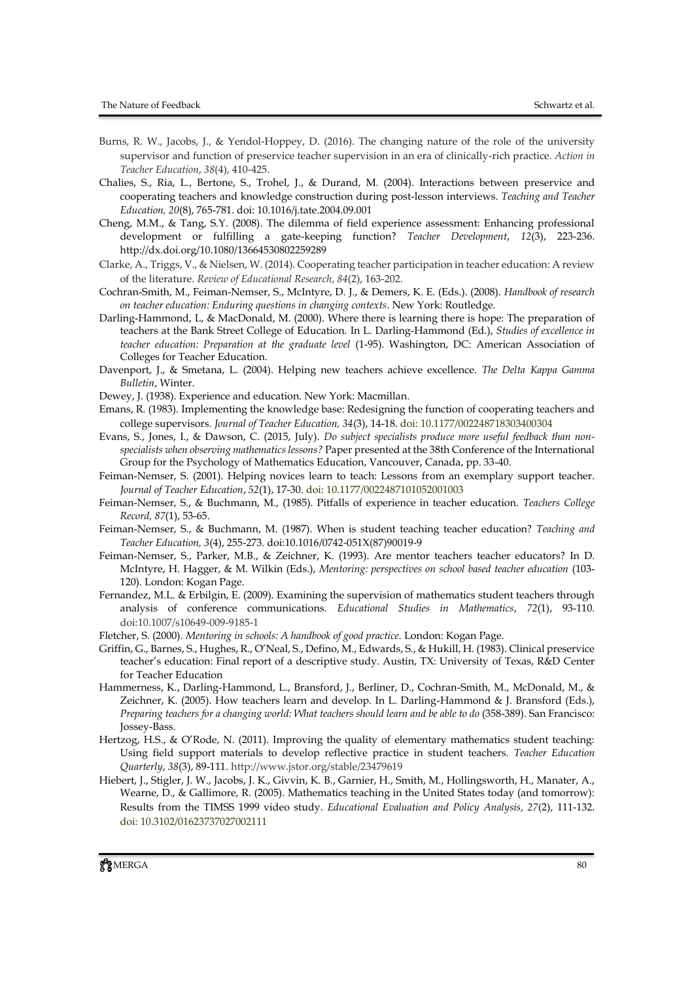- Burns, R. W., Jacobs, J., & Yendol-Hoppey, D. (2016). The changing nature of the role of the university supervisor and function of preservice teacher supervision in an era of clinically-rich practice. *Action in Teacher Education*, *38*(4), 410-425.
- Chalies, S., Ria, L., Bertone, S., Trohel, J., & Durand, M. (2004). Interactions between preservice and cooperating teachers and knowledge construction during post-lesson interviews. *Teaching and Teacher Education, 20*(8), 765-781. [doi: 10.1016/j.tate.2004.09.001](http://dx.doi.org/10.1016/j.tate.2004.09.001)
- Cheng, M.M., & Tang, S.Y. (2008). The dilemma of field experience assessment: Enhancing professional development or fulfilling a gate-keeping function? *Teacher Development*, *12*(3), 223-236. <http://dx.doi.org/10.1080/13664530802259289>
- Clarke, A., Triggs, V., & Nielsen, W. (2014). Cooperating teacher participation in teacher education: A review of the literature. *Review of Educational Research*, *84*(2), 163-202.
- Cochran-Smith, M., Feiman-Nemser, S., McIntyre, D. J., & Demers, K. E. (Eds.). (2008). *Handbook of research on teacher education: Enduring questions in changing contexts*. New York: Routledge.
- Darling-Hammond, L, & MacDonald, M. (2000). Where there is learning there is hope: The preparation of teachers at the Bank Street College of Education. In L. Darling-Hammond (Ed.), *Studies of excellence in teacher education: Preparation at the graduate level* (1-95). Washington, DC: American Association of Colleges for Teacher Education.
- Davenport, J., & Smetana, L. (2004). Helping new teachers achieve excellence. *The Delta Kappa Gamma Bulletin*, Winter.
- Dewey, J. (1938). Experience and education. New York: Macmillan.
- Emans, R. (1983). Implementing the knowledge base: Redesigning the function of cooperating teachers and college supervisors. *Journal of Teacher Education, 34*(3), 14-18. doi: 10.1177/002248718303400304
- Evans, S., Jones, I., & Dawson, C. (2015, July). *Do subject specialists produce more useful feedback than nonspecialists when observing mathematics lessons?* Paper presented at the 38th Conference of the International Group for the Psychology of Mathematics Education, Vancouver, Canada, pp. 33-40.
- Feiman-Nemser, S. (2001). Helping novices learn to teach: Lessons from an exemplary support teacher. *Journal of Teacher Education*, *52*(1), 17-30. doi: 10.1177/0022487101052001003
- Feiman-Nemser, S., & Buchmann, M., (1985). Pitfalls of experience in teacher education. *Teachers College Record, 87*(1), 53-65.
- Feiman-Nemser, S., & Buchmann, M. (1987). When is student teaching teacher education? *Teaching and Teacher Education, 3*(4), 255-273. [doi:10.1016/0742-051X\(87\)90019-9](http://dx.doi.org/10.1016/0742-051X(87)90019-9)
- Feiman-Nemser, S., Parker, M.B., & Zeichner, K. (1993). Are mentor teachers teacher educators? In D. McIntyre, H. Hagger, & M. Wilkin (Eds.), *Mentoring: perspectives on school based teacher education* (103- 120). London: Kogan Page.
- Fernandez, M.L. & Erbilgin, E. (2009). Examining the supervision of mathematics student teachers through analysis of conference communications. *Educational Studies in Mathematics*, *72*(1), 93-110. doi:10.1007/s10649-009-9185-1
- Fletcher, S. (2000). *Mentoring in schools: A handbook of good practice.* London: Kogan Page.
- Griffin, G., Barnes, S., Hughes, R., O'Neal, S., Defino, M., Edwards, S., & Hukill, H. (1983). Clinical preservice teacher's education: Final report of a descriptive study. Austin, TX: University of Texas, R&D Center for Teacher Education
- Hammerness, K., Darling-Hammond, L., Bransford, J., Berliner, D., Cochran-Smith, M., McDonald, M., & Zeichner, K. (2005). How teachers learn and develop. In L. Darling-Hammond & J. Bransford (Eds.), *Preparing teachers for a changing world: What teachers should learn and be able to do* (358-389). San Francisco: Jossey-Bass.
- Hertzog, H.S., & O'Rode, N. (2011). Improving the quality of elementary mathematics student teaching: Using field support materials to develop reflective practice in student teachers. *Teacher Education Quarterly*, *38*(3), 89-111. http://www.jstor.org/stable/23479619
- Hiebert, J., Stigler, J. W., Jacobs, J. K., Givvin, K. B., Garnier, H., Smith, M., Hollingsworth, H., Manater, A., Wearne, D., & Gallimore, R. (2005). Mathematics teaching in the United States today (and tomorrow): Results from the TIMSS 1999 video study. *Educational Evaluation and Policy Analysis*, *27*(2), 111-132. doi: 10.3102/01623737027002111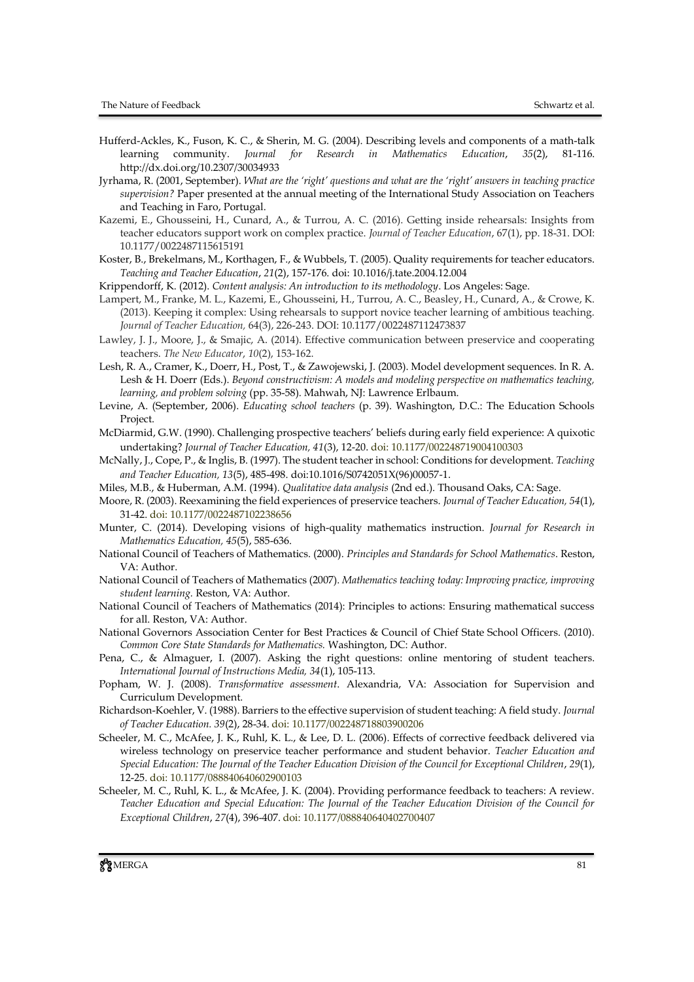- Hufferd-Ackles, K., Fuson, K. C., & Sherin, M. G. (2004). Describing levels and components of a math-talk learning community. *Journal for Research in Mathematics Education*, *35*(2), 81-116. [http://dx.doi.org/10.2307/30034933](http://psycnet.apa.org/doi/10.2307/30034933)
- Jyrhama, R. (2001, September). *What are the 'right' questions and what are the 'right' answers in teaching practice supervision?* Paper presented at the annual meeting of the International Study Association on Teachers and Teaching in Faro, Portugal.
- Kazemi, E., Ghousseini, H., Cunard, A., & Turrou, A. C. (2016). Getting inside rehearsals: Insights from teacher educators support work on complex practice. *Journal of Teacher Education*, 67(1), pp. 18-31. DOI: 10.1177/0022487115615191
- Koster, B., Brekelmans, M., Korthagen, F., & Wubbels, T. (2005). Quality requirements for teacher educators. *Teaching and Teacher Education*, *21*(2), 157-176. [doi: 10.1016/j.tate.2004.12.004](http://dx.doi.org/10.1016/j.tate.2004.12.004)
- Krippendorff, K. (2012). *Content analysis: An introduction to its methodology*. Los Angeles: Sage.
- Lampert, M., Franke, M. L., Kazemi, E., Ghousseini, H., Turrou, A. C., Beasley, H., Cunard, A., & Crowe, K. (2013). Keeping it complex: Using rehearsals to support novice teacher learning of ambitious teaching. *Journal of Teacher Education,* 64(3), 226-243. DOI: 10.1177/0022487112473837
- Lawley, J. J., Moore, J., & Smajic, A. (2014). Effective communication between preservice and cooperating teachers. *The New Educator*, *10*(2), 153-162.
- Lesh, R. A., Cramer, K., Doerr, H., Post, T., & Zawojewski, J. (2003). Model development sequences. In R. A. Lesh & H. Doerr (Eds.). *Beyond constructivism: A models and modeling perspective on mathematics teaching, learning, and problem solving* (pp. 35-58). Mahwah, NJ: Lawrence Erlbaum.
- Levine, A. (September, 2006). *Educating school teachers* (p. 39). Washington, D.C.: The Education Schools Project.
- McDiarmid, G.W. (1990). Challenging prospective teachers' beliefs during early field experience: A quixotic undertaking? *Journal of Teacher Education, 41*(3), 12-20. doi: 10.1177/002248719004100303
- McNally, J., Cope, P., & Inglis, B. (1997). The student teacher in school: Conditions for development. *Teaching and Teacher Education, 13*(5), 485-498. [doi:10.1016/S0742051X\(96\)00057-1.](http://dx.doi.org/10.1016/S0742-051X(96)00057-1)
- Miles, M.B., & Huberman, A.M. (1994). *Qualitative data analysis* (2nd ed.). Thousand Oaks, CA: Sage.
- Moore, R. (2003). Reexamining the field experiences of preservice teachers. *Journal of Teacher Education, 54*(1), 31-42. doi: 10.1177/0022487102238656
- Munter, C. (2014). Developing visions of high-quality mathematics instruction. *Journal for Research in Mathematics Education, 45*(5), 585-636.
- National Council of Teachers of Mathematics. (2000). *Principles and Standards for School Mathematics*. Reston, VA: Author.
- National Council of Teachers of Mathematics (2007). *Mathematics teaching today: Improving practice, improving student learning.* Reston, VA: Author.
- National Council of Teachers of Mathematics (2014): Principles to actions: Ensuring mathematical success for all. Reston, VA: Author.
- National Governors Association Center for Best Practices & Council of Chief State School Officers. (2010). *Common Core State Standards for Mathematics.* Washington, DC: Author.
- Pena, C., & Almaguer, I. (2007). Asking the right questions: online mentoring of student teachers. *International Journal of Instructions Media, 34*(1), 105-113.
- Popham, W. J. (2008). *Transformative assessment*. Alexandria, VA: Association for Supervision and Curriculum Development.
- Richardson-Koehler, V. (1988). Barriers to the effective supervision of student teaching: A field study. *Journal of Teacher Education. 39*(2), 28-34. doi: 10.1177/002248718803900206
- Scheeler, M. C., McAfee, J. K., Ruhl, K. L., & Lee, D. L. (2006). Effects of corrective feedback delivered via wireless technology on preservice teacher performance and student behavior. *Teacher Education and Special Education: The Journal of the Teacher Education Division of the Council for Exceptional Children*, *29*(1), 12-25. doi: 10.1177/088840640602900103
- Scheeler, M. C., Ruhl, K. L., & McAfee, J. K. (2004). Providing performance feedback to teachers: A review. *Teacher Education and Special Education: The Journal of the Teacher Education Division of the Council for Exceptional Children*, *27*(4), 396-407. doi: 10.1177/088840640402700407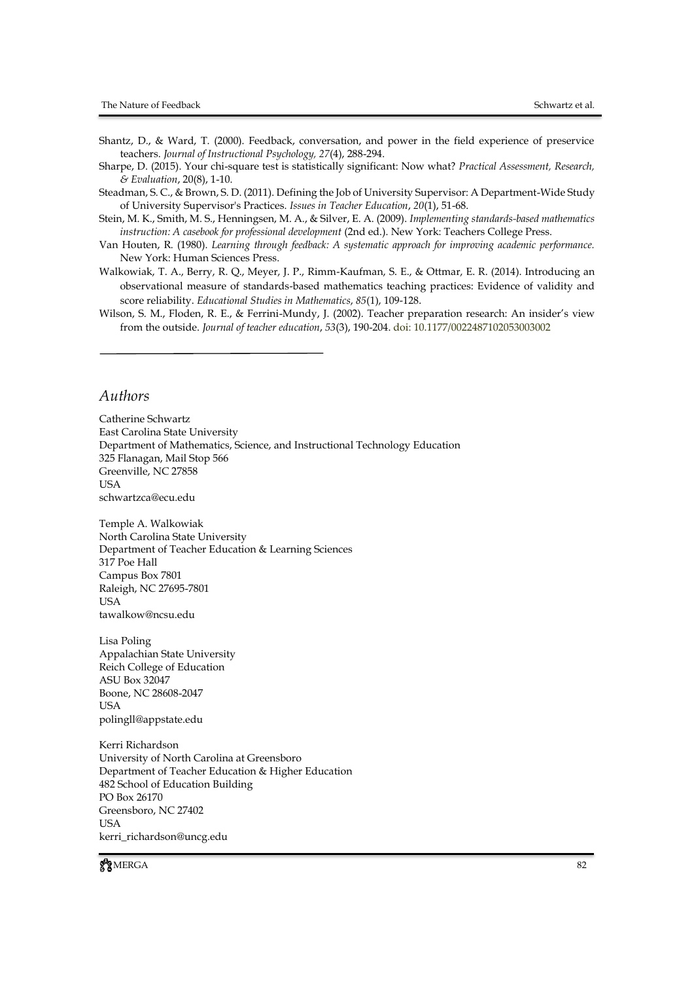- Shantz, D., & Ward, T. (2000). Feedback, conversation, and power in the field experience of preservice teachers. *Journal of Instructional Psychology, 27*(4), 288-294.
- Sharpe, D. (2015). Your chi-square test is statistically significant: Now what? *Practical Assessment, Research, & Evaluation*, 20(8), 1-10.
- Steadman, S. C., & Brown, S. D. (2011). Defining the Job of University Supervisor: A Department-Wide Study of University Supervisor's Practices. *Issues in Teacher Education*, *20*(1), 51-68.
- Stein, M. K., Smith, M. S., Henningsen, M. A., & Silver, E. A. (2009). *Implementing standards-based mathematics instruction: A casebook for professional development (2nd ed.). New York: Teachers College Press.*
- Van Houten, R. (1980). *Learning through feedback: A systematic approach for improving academic performance.* New York: Human Sciences Press.
- Walkowiak, T. A., Berry, R. Q., Meyer, J. P., Rimm-Kaufman, S. E., & Ottmar, E. R. (2014). Introducing an observational measure of standards-based mathematics teaching practices: Evidence of validity and score reliability. *Educational Studies in Mathematics*, *85*(1), 109-128.
- Wilson, S. M., Floden, R. E., & Ferrini-Mundy, J. (2002). Teacher preparation research: An insider's view from the outside. *Journal of teacher education*, *53*(3), 190-204. doi: 10.1177/0022487102053003002

#### *Authors*

Catherine Schwartz East Carolina State University Department of Mathematics, Science, and Instructional Technology Education 325 Flanagan, Mail Stop 566 Greenville, NC 27858 USA schwartzca@ecu.edu

Temple A. Walkowiak North Carolina State University Department of Teacher Education & Learning Sciences 317 Poe Hall Campus Box 7801 Raleigh, NC 27695-7801 **I** ISA tawalkow@ncsu.edu

Lisa Poling Appalachian State University Reich College of Education ASU Box 32047 Boone, NC 28608-2047 USA polingll@appstate.edu

Kerri Richardson University of North Carolina at Greensboro Department of Teacher Education & Higher Education 482 School of Education Building PO Box 26170 Greensboro, NC 27402 **USA** kerri\_richardson@uncg.edu

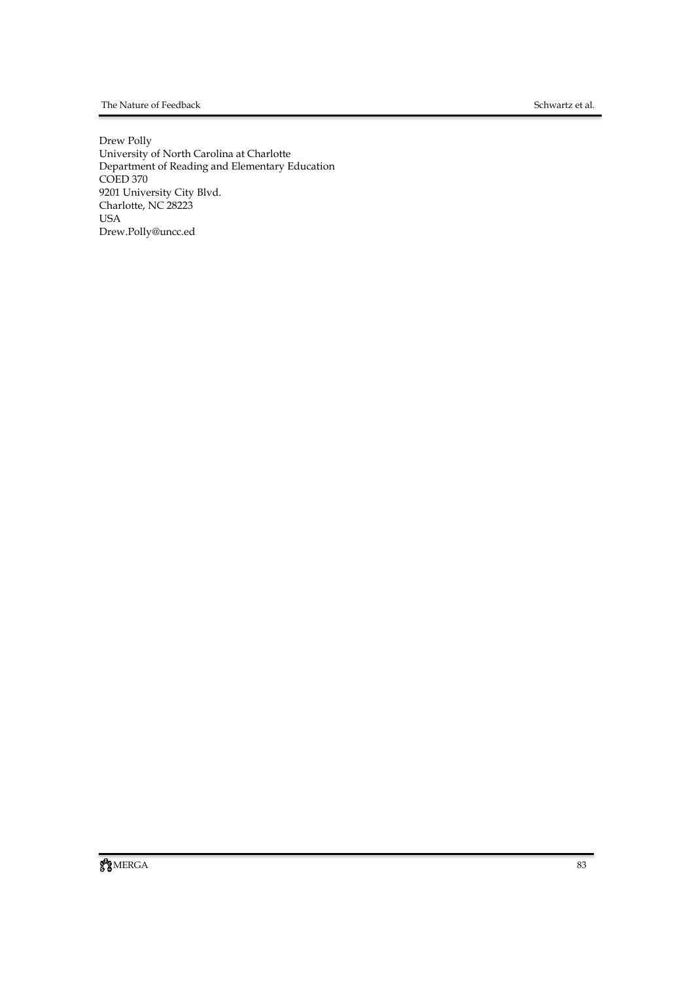#### The Nature of Feedback Schwartz et al.

Drew Polly University of North Carolina at Charlotte Department of Reading and Elementary Education COED 370 9201 University City Blvd. Charlotte, NC 28223 USA Drew.Polly@uncc.ed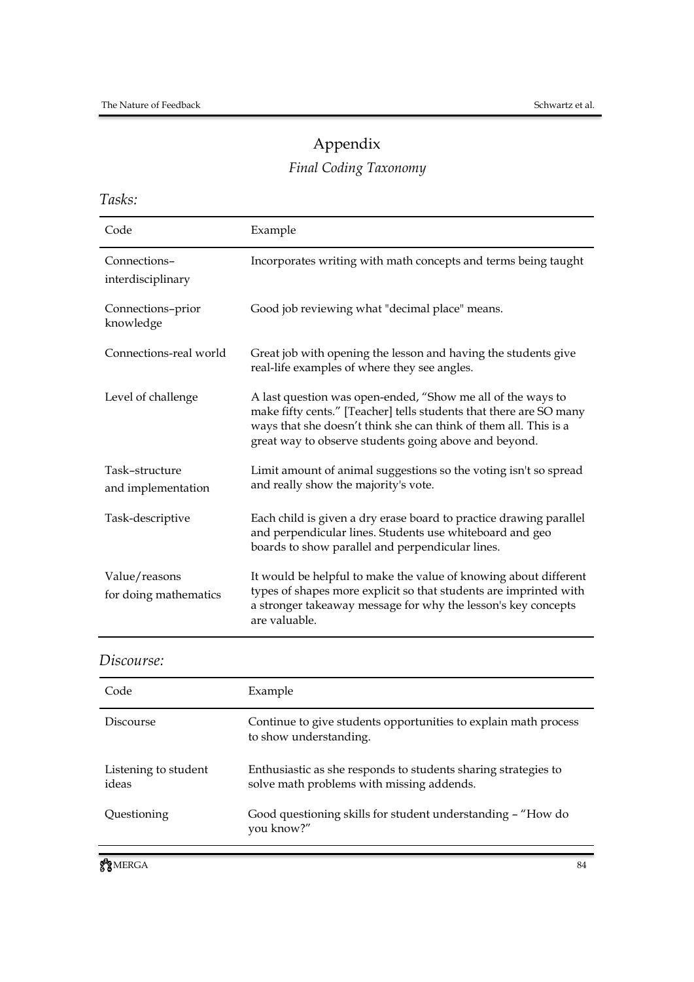# Appendix

# *Final Coding Taxonomy*

*Tasks:*

| Code                                   | Example                                                                                                                                                                                                                                                        |
|----------------------------------------|----------------------------------------------------------------------------------------------------------------------------------------------------------------------------------------------------------------------------------------------------------------|
| Connections-<br>interdisciplinary      | Incorporates writing with math concepts and terms being taught                                                                                                                                                                                                 |
| Connections-prior<br>knowledge         | Good job reviewing what "decimal place" means.                                                                                                                                                                                                                 |
| Connections-real world                 | Great job with opening the lesson and having the students give<br>real-life examples of where they see angles.                                                                                                                                                 |
| Level of challenge                     | A last question was open-ended, "Show me all of the ways to<br>make fifty cents." [Teacher] tells students that there are SO many<br>ways that she doesn't think she can think of them all. This is a<br>great way to observe students going above and beyond. |
| Task-structure<br>and implementation   | Limit amount of animal suggestions so the voting isn't so spread<br>and really show the majority's vote.                                                                                                                                                       |
| Task-descriptive                       | Each child is given a dry erase board to practice drawing parallel<br>and perpendicular lines. Students use whiteboard and geo<br>boards to show parallel and perpendicular lines.                                                                             |
| Value/reasons<br>for doing mathematics | It would be helpful to make the value of knowing about different<br>types of shapes more explicit so that students are imprinted with<br>a stronger takeaway message for why the lesson's key concepts<br>are valuable.                                        |

*Discourse:*

| Code                          | Example                                                                                                     |
|-------------------------------|-------------------------------------------------------------------------------------------------------------|
| Discourse                     | Continue to give students opportunities to explain math process<br>to show understanding.                   |
| Listening to student<br>ideas | Enthusiastic as she responds to students sharing strategies to<br>solve math problems with missing addends. |
| Questioning                   | Good questioning skills for student understanding - "How do<br>you know?"                                   |
|                               |                                                                                                             |